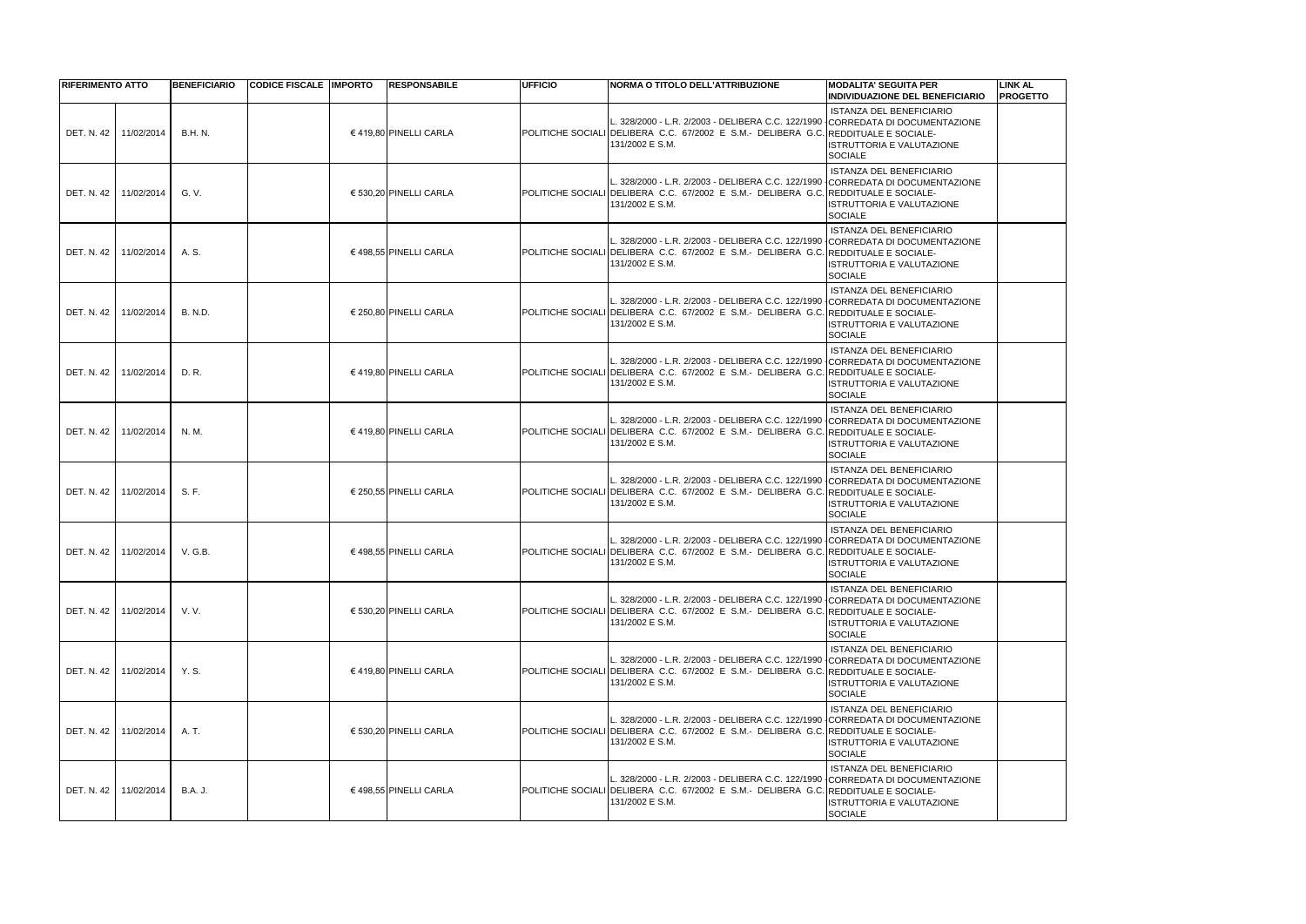| <b>RIFERIMENTO ATTO</b> |            | <b>BENEFICIARIO</b> | <b>CODICE FISCALE IMPORTO</b> | <b>RESPONSABILE</b>    | <b>IUFFICIO</b> | NORMA O TITOLO DELL'ATTRIBUZIONE                                                                                                                                                         | <b>MODALITA' SEGUITA PER</b><br><b>INDIVIDUAZIONE DEL BENEFICIARIO</b>                | <b>LINK AL</b><br><b>PROGETTO</b> |
|-------------------------|------------|---------------------|-------------------------------|------------------------|-----------------|------------------------------------------------------------------------------------------------------------------------------------------------------------------------------------------|---------------------------------------------------------------------------------------|-----------------------------------|
| DET. N. 42              | 11/02/2014 | <b>B.H. N.</b>      |                               | € 419,80 PINELLI CARLA |                 | 328/2000 - L.R. 2/2003 - DELIBERA C.C. 122/1990 CORREDATA DI DOCUMENTAZIONE<br>POLITICHE SOCIALI DELIBERA C.C. 67/2002 E S.M.- DELIBERA G.C. REDDITUALE E SOCIALE-<br>131/2002 E S.M.    | ISTANZA DEL BENEFICIARIO<br><b>ISTRUTTORIA E VALUTAZIONE</b><br><b>SOCIALE</b>        |                                   |
| DET. N. 42              | 11/02/2014 | G. V.               |                               | € 530,20 PINELLI CARLA |                 | 328/2000 - L.R. 2/2003 - DELIBERA C.C. 122/1990 CORREDATA DI DOCUMENTAZIONE<br>POLITICHE SOCIALI DELIBERA C.C. 67/2002 E S.M.- DELIBERA G.C. REDDITUALE E SOCIALE-<br>131/2002 E S.M.    | <b>ISTANZA DEL BENEFICIARIO</b><br><b>ISTRUTTORIA E VALUTAZIONE</b><br><b>SOCIALE</b> |                                   |
| <b>DET. N. 42</b>       | 11/02/2014 | A. S.               |                               | € 498,55 PINELLI CARLA |                 | 328/2000 - L.R. 2/2003 - DELIBERA C.C. 122/1990 CORREDATA DI DOCUMENTAZIONE<br>POLITICHE SOCIALI DELIBERA C.C. 67/2002 E S.M.- DELIBERA G.C. REDDITUALE E SOCIALE-<br>131/2002 E S.M.    | ISTANZA DEL BENEFICIARIO<br><b>ISTRUTTORIA E VALUTAZIONE</b><br><b>SOCIALE</b>        |                                   |
| DET. N. 42              | 11/02/2014 | <b>B. N.D.</b>      |                               | € 250,80 PINELLI CARLA |                 | 328/2000 - L.R. 2/2003 - DELIBERA C.C. 122/1990 CORREDATA DI DOCUMENTAZIONE<br>POLITICHE SOCIALI DELIBERA C.C. 67/2002 E S.M.- DELIBERA G.C. REDDITUALE E SOCIALE-<br>131/2002 E S.M.    | ISTANZA DEL BENEFICIARIO<br><b>ISTRUTTORIA E VALUTAZIONE</b><br><b>SOCIALE</b>        |                                   |
| <b>DET. N. 42</b>       | 11/02/2014 | D. R.               |                               | € 419.80 PINELLI CARLA |                 | L. 328/2000 - L.R. 2/2003 - DELIBERA C.C. 122/1990 CORREDATA DI DOCUMENTAZIONE<br>POLITICHE SOCIALI DELIBERA C.C. 67/2002 E S.M.- DELIBERA G.C. REDDITUALE E SOCIALE-<br>131/2002 E S.M. | <b>ISTANZA DEL BENEFICIARIO</b><br>ISTRUTTORIA E VALUTAZIONE<br><b>SOCIALE</b>        |                                   |
| DET. N. 42              | 11/02/2014 | N. M.               |                               | € 419,80 PINELLI CARLA |                 | 328/2000 - L.R. 2/2003 - DELIBERA C.C. 122/1990 CORREDATA DI DOCUMENTAZIONE<br>POLITICHE SOCIALI DELIBERA C.C. 67/2002 E S.M.- DELIBERA G.C. REDDITUALE E SOCIALE-<br>131/2002 E S.M.    | ISTANZA DEL BENEFICIARIO<br><b>ISTRUTTORIA E VALUTAZIONE</b><br><b>SOCIALE</b>        |                                   |
| DET. N. 42              | 11/02/2014 | S. F.               |                               | € 250,55 PINELLI CARLA |                 | L. 328/2000 - L.R. 2/2003 - DELIBERA C.C. 122/1990 CORREDATA DI DOCUMENTAZIONE<br>POLITICHE SOCIALI DELIBERA C.C. 67/2002 E S.M.- DELIBERA G.C. REDDITUALE E SOCIALE-<br>131/2002 E S.M. | <b>ISTANZA DEL BENEFICIARIO</b><br>ISTRUTTORIA E VALUTAZIONE<br>SOCIALE               |                                   |
| <b>DET. N. 42</b>       | 11/02/2014 | V. G.B.             |                               | € 498,55 PINELLI CARLA |                 | 328/2000 - L.R. 2/2003 - DELIBERA C.C. 122/1990 CORREDATA DI DOCUMENTAZIONE<br>POLITICHE SOCIALI DELIBERA C.C. 67/2002 E S.M.- DELIBERA G.C. REDDITUALE E SOCIALE-<br>131/2002 E S.M.    | <b>ISTANZA DEL BENEFICIARIO</b><br>ISTRUTTORIA E VALUTAZIONE<br><b>I</b> SOCIALE      |                                   |
| <b>DET. N. 42</b>       | 11/02/2014 | V. V.               |                               | € 530,20 PINELLI CARLA |                 | POLITICHE SOCIALI DELIBERA C.C. 67/2002 E S.M.- DELIBERA G.C. REDDITUALE E SOCIALE-<br>131/2002 E S.M.                                                                                   | ISTANZA DEL BENEFICIARIO<br>ISTRUTTORIA E VALUTAZIONE<br><b>SOCIALE</b>               |                                   |
| DET. N. 42              | 11/02/2014 | Y.S.                |                               | € 419,80 PINELLI CARLA |                 | L. 328/2000 - L.R. 2/2003 - DELIBERA C.C. 122/1990 CORREDATA DI DOCUMENTAZIONE<br>POLITICHE SOCIALI DELIBERA C.C. 67/2002 E S.M.- DELIBERA G.C. REDDITUALE E SOCIALE-<br>131/2002 E S.M. | ISTANZA DEL BENEFICIARIO<br><b>ISTRUTTORIA E VALUTAZIONE</b><br>SOCIALE               |                                   |
| DET. N. 42              | 11/02/2014 | A. T.               |                               | € 530,20 PINELLI CARLA |                 | L. 328/2000 - L.R. 2/2003 - DELIBERA C.C. 122/1990 CORREDATA DI DOCUMENTAZIONE<br>POLITICHE SOCIALI DELIBERA C.C. 67/2002 E S.M.- DELIBERA G.C. REDDITUALE E SOCIALE-<br>131/2002 E S.M. | ISTANZA DEL BENEFICIARIO<br><b>ISTRUTTORIA E VALUTAZIONE</b><br><b>SOCIALE</b>        |                                   |
| DET. N. 42              | 11/02/2014 | <b>B.A. J.</b>      |                               | € 498,55 PINELLI CARLA |                 | 328/2000 - L.R. 2/2003 - DELIBERA C.C. 122/1990 CORREDATA DI DOCUMENTAZIONE<br>POLITICHE SOCIALI DELIBERA C.C. 67/2002 E S.M.- DELIBERA G.C. REDDITUALE E SOCIALE-<br>131/2002 E S.M.    | <b>ISTANZA DEL BENEFICIARIO</b><br>ISTRUTTORIA E VALUTAZIONE<br>SOCIALE               |                                   |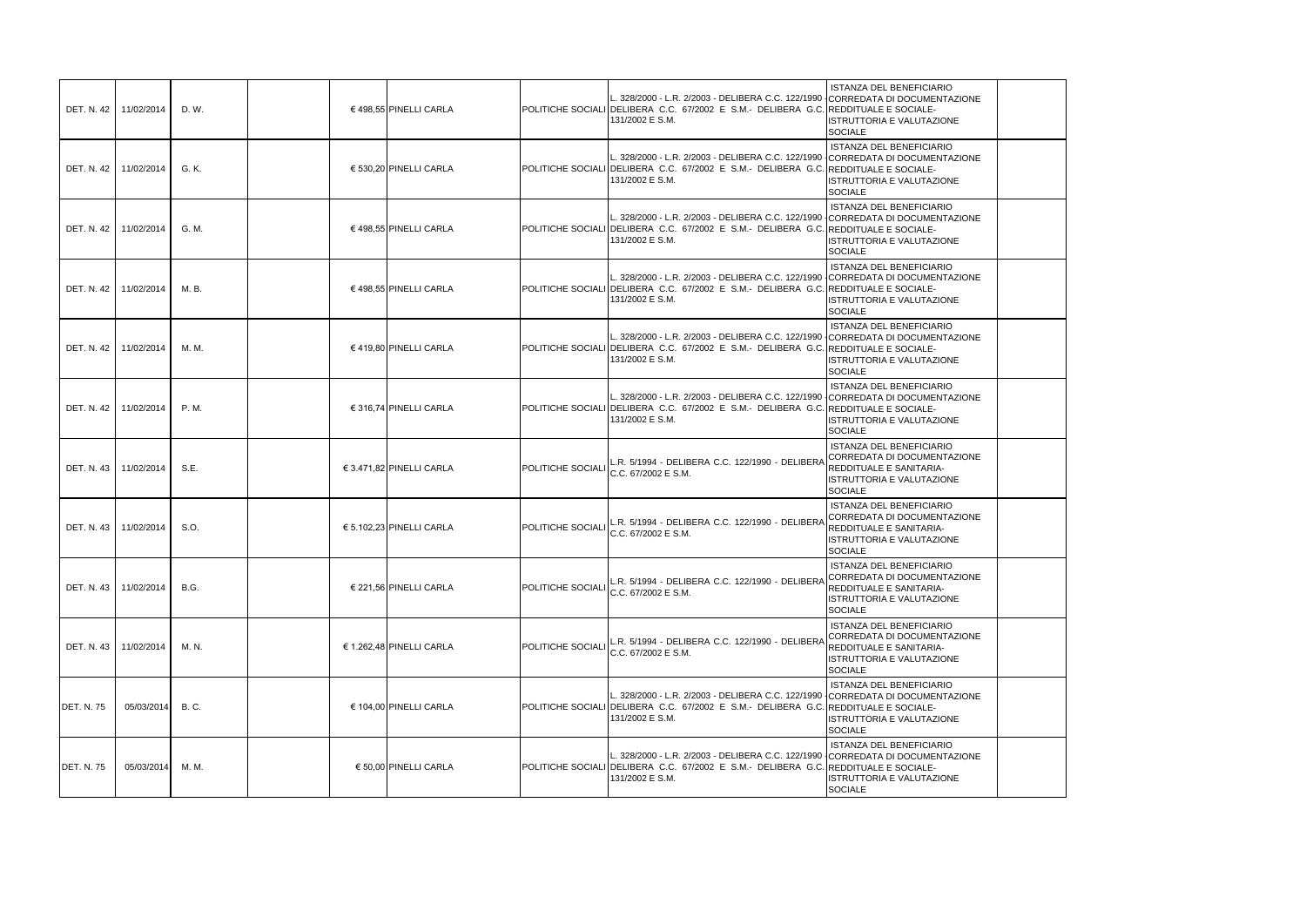|                   | DET. N. 42   11/02/2014 | D. W.       | € 498,55 PINELLI CARLA   |                          | L. 328/2000 - L.R. 2/2003 - DELIBERA C.C. 122/1990<br>POLITICHE SOCIALI DELIBERA C.C. 67/2002 E S.M.- DELIBERA G.C. REDDITUALE E SOCIALE-<br>131/2002 E S.M.                             | <b>ISTANZA DEL BENEFICIARIO</b><br>CORREDATA DI DOCUMENTAZIONE<br>ISTRUTTORIA E VALUTAZIONE<br><b>SOCIALE</b>                                        |
|-------------------|-------------------------|-------------|--------------------------|--------------------------|------------------------------------------------------------------------------------------------------------------------------------------------------------------------------------------|------------------------------------------------------------------------------------------------------------------------------------------------------|
|                   | DET. N. 42   11/02/2014 | G. K.       | € 530,20 PINELLI CARLA   |                          | L. 328/2000 - L.R. 2/2003 - DELIBERA C.C. 122/1990<br>POLITICHE SOCIALI DELIBERA C.C. 67/2002 E S.M.- DELIBERA G.C.<br>131/2002 E S.M.                                                   | <b>ISTANZA DEL BENEFICIARIO</b><br>CORREDATA DI DOCUMENTAZIONE<br><b>REDDITUALE E SOCIALE-</b><br><b>ISTRUTTORIA E VALUTAZIONE</b><br><b>SOCIALE</b> |
|                   | DET. N. 42   11/02/2014 | G. M.       | € 498,55 PINELLI CARLA   |                          | L. 328/2000 - L.R. 2/2003 - DELIBERA C.C. 122/1990<br><b>IPOLITICHE SOCIALI IDELIBERA C.C. 67/2002 E S.M.- DELIBERA G.C.</b><br>131/2002 E S.M.                                          | <b>ISTANZA DEL BENEFICIARIO</b><br>CORREDATA DI DOCUMENTAZIONE<br><b>IREDDITUALE E SOCIALE-</b><br>ISTRUTTORIA E VALUTAZIONE<br><b>SOCIALE</b>       |
|                   | DET. N. 42   11/02/2014 | M. B.       | € 498,55 PINELLI CARLA   |                          | L. 328/2000 - L.R. 2/2003 - DELIBERA C.C. 122/1990 CORREDATA DI DOCUMENTAZIONE<br>POLITICHE SOCIALI DELIBERA C.C. 67/2002 E S.M.- DELIBERA G.C. REDDITUALE E SOCIALE-<br>131/2002 E S.M. | <b>ISTANZA DEL BENEFICIARIO</b><br>ISTRUTTORIA E VALUTAZIONE<br><b>SOCIALE</b>                                                                       |
|                   | DET. N. 42   11/02/2014 | M. M.       | € 419.80 PINELLI CARLA   |                          | L. 328/2000 - L.R. 2/2003 - DELIBERA C.C. 122/1990 CORREDATA DI DOCUMENTAZIONE<br>POLITICHE SOCIALI DELIBERA C.C. 67/2002 E S.M.- DELIBERA G.C. REDDITUALE E SOCIALE-<br>131/2002 E S.M. | <b>ISTANZA DEL BENEFICIARIO</b><br><b>ISTRUTTORIA E VALUTAZIONE</b><br><b>SOCIALE</b>                                                                |
|                   | DET. N. 42   11/02/2014 | P. M.       | € 316,74 PINELLI CARLA   |                          | L. 328/2000 - L.R. 2/2003 - DELIBERA C.C. 122/1990 CORREDATA DI DOCUMENTAZIONE<br>POLITICHE SOCIALI DELIBERA C.C. 67/2002 E S.M.- DELIBERA G.C. REDDITUALE E SOCIALE-<br>131/2002 E S.M. | <b>ISTANZA DEL BENEFICIARIO</b><br>ISTRUTTORIA E VALUTAZIONE<br><b>SOCIALE</b>                                                                       |
|                   | DET. N. 43   11/02/2014 | S.E.        | € 3.471,82 PINELLI CARLA | <b>POLITICHE SOCIALI</b> | L.R. 5/1994 - DELIBERA C.C. 122/1990 - DELIBERA<br>C.C. 67/2002 E S.M.                                                                                                                   | <b>ISTANZA DEL BENEFICIARIO</b><br>CORREDATA DI DOCUMENTAZIONE<br>REDDITUALE E SANITARIA-<br>ISTRUTTORIA E VALUTAZIONE<br><b>SOCIALE</b>             |
|                   | DET. N. 43   11/02/2014 | S.O.        | € 5.102,23 PINELLI CARLA | <b>POLITICHE SOCIALI</b> | R. 5/1994 - DELIBERA C.C. 122/1990 - DELIBERA<br>C.C. 67/2002 E S.M.                                                                                                                     | <b>ISTANZA DEL BENEFICIARIO</b><br>CORREDATA DI DOCUMENTAZIONE<br>REDDITUALE E SANITARIA-<br>ISTRUTTORIA E VALUTAZIONE<br><b>SOCIALE</b>             |
|                   | DET. N. 43   11/02/2014 | <b>B.G.</b> | € 221,56 PINELLI CARLA   | POLITICHE SOCIALI        | R. 5/1994 - DELIBERA C.C. 122/1990 - DELIBERA<br>C.C. 67/2002 E S.M.                                                                                                                     | <b>ISTANZA DEL BENEFICIARIO</b><br>CORREDATA DI DOCUMENTAZIONE<br>REDDITUALE E SANITARIA-<br>ISTRUTTORIA E VALUTAZIONE<br><b>SOCIALE</b>             |
|                   | DET. N. 43   11/02/2014 | M. N.       | € 1.262,48 PINELLI CARLA | <b>POLITICHE SOCIALI</b> | L.R. 5/1994 - DELIBERA C.C. 122/1990 - DELIBERA<br>C.C. 67/2002 E S.M.                                                                                                                   | <b>ISTANZA DEL BENEFICIARIO</b><br>CORREDATA DI DOCUMENTAZIONE<br><b>REDDITUALE E SANITARIA-</b><br>ISTRUTTORIA E VALUTAZIONE<br><b>SOCIALE</b>      |
| <b>DET. N. 75</b> | 05/03/2014              | B. C.       | € 104,00 PINELLI CARLA   |                          | L. 328/2000 - L.R. 2/2003 - DELIBERA C.C. 122/1990 CORREDATA DI DOCUMENTAZIONE<br>POLITICHE SOCIALI DELIBERA C.C. 67/2002 E S.M.- DELIBERA G.C. REDDITUALE E SOCIALE-<br>131/2002 E S.M. | <b>ISTANZA DEL BENEFICIARIO</b><br>ISTRUTTORIA E VALUTAZIONE<br><b>SOCIALE</b>                                                                       |
| <b>DET. N. 75</b> | 05/03/2014              | M. M.       | € 50,00 PINELLI CARLA    |                          | L. 328/2000 - L.R. 2/2003 - DELIBERA C.C. 122/1990<br>POLITICHE SOCIALI DELIBERA C.C. 67/2002 E S.M.- DELIBERA G.C. REDDITUALE E SOCIALE-<br>131/2002 E S.M.                             | <b>ISTANZA DEL BENEFICIARIO</b><br>CORREDATA DI DOCUMENTAZIONE<br>ISTRUTTORIA E VALUTAZIONE<br><b>SOCIALE</b>                                        |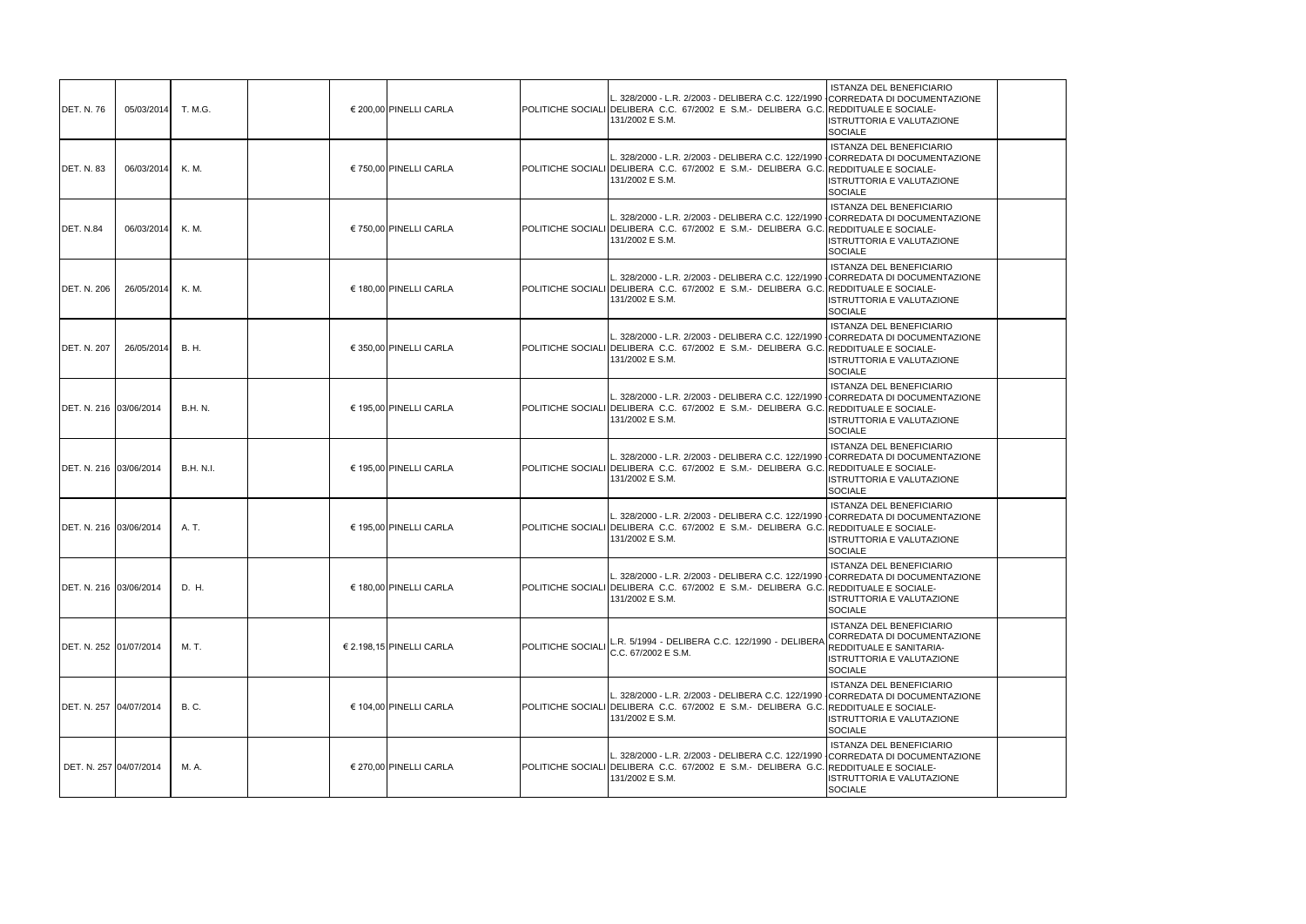| <b>IDET. N. 76</b> | 05/03/2014              | T. M.G.          | € 200,00 PINELLI CARLA   |                   | L. 328/2000 - L.R. 2/2003 - DELIBERA C.C. 122/1990<br>POLITICHE SOCIALI DELIBERA C.C. 67/2002 E S.M.- DELIBERA G.C. REDDITUALE E SOCIALE-<br>131/2002 E S.M.                              | <b>ISTANZA DEL BENEFICIARIO</b><br>CORREDATA DI DOCUMENTAZIONE<br>ISTRUTTORIA E VALUTAZIONE<br><b>SOCIALE</b>                                        |
|--------------------|-------------------------|------------------|--------------------------|-------------------|-------------------------------------------------------------------------------------------------------------------------------------------------------------------------------------------|------------------------------------------------------------------------------------------------------------------------------------------------------|
| <b>IDET. N. 83</b> | 06/03/2014              | K. M.            | € 750,00 PINELLI CARLA   |                   | L. 328/2000 - L.R. 2/2003 - DELIBERA C.C. 122/1990<br>POLITICHE SOCIALI DELIBERA C.C. 67/2002 E S.M.- DELIBERA G.C.<br>131/2002 E S.M.                                                    | <b>ISTANZA DEL BENEFICIARIO</b><br>CORREDATA DI DOCUMENTAZIONE<br><b>REDDITUALE E SOCIALE-</b><br><b>ISTRUTTORIA E VALUTAZIONE</b><br><b>SOCIALE</b> |
| DET. N.84          | 06/03/2014              | K. M.            | € 750,00 PINELLI CARLA   |                   | L. 328/2000 - L.R. 2/2003 - DELIBERA C.C. 122/1990 ICORREDATA DI DOCUMENTAZIONE<br>POLITICHE SOCIALI DELIBERA C.C. 67/2002 E S.M.- DELIBERA G.C. REDDITUALE E SOCIALE-<br>131/2002 E S.M. | <b>ISTANZA DEL BENEFICIARIO</b><br>ISTRUTTORIA E VALUTAZIONE<br><b>SOCIALE</b>                                                                       |
| <b>DET. N. 206</b> | 26/05/2014              | K. M.            | € 180,00 PINELLI CARLA   |                   | L. 328/2000 - L.R. 2/2003 - DELIBERA C.C. 122/1990 CORREDATA DI DOCUMENTAZIONE<br>POLITICHE SOCIALI DELIBERA C.C. 67/2002 E S.M.- DELIBERA G.C. REDDITUALE E SOCIALE-<br>131/2002 E S.M.  | <b>ISTANZA DEL BENEFICIARIO</b><br>ISTRUTTORIA E VALUTAZIONE<br><b>SOCIALE</b>                                                                       |
| <b>DET. N. 207</b> | 26/05/2014              | B. H.            | € 350,00 PINELLI CARLA   |                   | L. 328/2000 - L.R. 2/2003 - DELIBERA C.C. 122/1990 CORREDATA DI DOCUMENTAZIONE<br>POLITICHE SOCIALI DELIBERA C.C. 67/2002 E S.M.- DELIBERA G.C. REDDITUALE E SOCIALE-<br>131/2002 E S.M.  | <b>ISTANZA DEL BENEFICIARIO</b><br>ISTRUTTORIA E VALUTAZIONE<br><b>SOCIALE</b>                                                                       |
|                    | DET. N. 216 03/06/2014  | <b>B.H. N.</b>   | € 195,00 PINELLI CARLA   |                   | L. 328/2000 - L.R. 2/2003 - DELIBERA C.C. 122/1990 CORREDATA DI DOCUMENTAZIONE<br>POLITICHE SOCIALI DELIBERA C.C. 67/2002 E S.M.- DELIBERA G.C. REDDITUALE E SOCIALE-<br>131/2002 E S.M.  | <b>ISTANZA DEL BENEFICIARIO</b><br>ISTRUTTORIA E VALUTAZIONE<br><b>SOCIALE</b>                                                                       |
|                    | DET. N. 216 03/06/2014  | <b>B.H. N.I.</b> | € 195,00 PINELLI CARLA   |                   | L. 328/2000 - L.R. 2/2003 - DELIBERA C.C. 122/1990 CORREDATA DI DOCUMENTAZIONE<br>POLITICHE SOCIALI DELIBERA C.C. 67/2002 E S.M.- DELIBERA G.C. REDDITUALE E SOCIALE-<br>131/2002 E S.M.  | <b>ISTANZA DEL BENEFICIARIO</b><br>ISTRUTTORIA E VALUTAZIONE<br><b>SOCIALE</b>                                                                       |
|                    | DET. N. 216 03/06/2014  | A. T.            | € 195,00 PINELLI CARLA   |                   | L. 328/2000 - L.R. 2/2003 - DELIBERA C.C. 122/1990 CORREDATA DI DOCUMENTAZIONE<br>POLITICHE SOCIALI DELIBERA C.C. 67/2002 E S.M.- DELIBERA G.C. REDDITUALE E SOCIALE-<br>131/2002 E S.M.  | <b>ISTANZA DEL BENEFICIARIO</b><br><b>ISTRUTTORIA E VALUTAZIONE</b><br><b>SOCIALE</b>                                                                |
|                    | DET. N. 216 03/06/2014  | D. H.            | € 180,00 PINELLI CARLA   |                   | L. 328/2000 - L.R. 2/2003 - DELIBERA C.C. 122/1990<br>POLITICHE SOCIALI DELIBERA C.C. 67/2002 E S.M.- DELIBERA G.C. REDDITUALE E SOCIALE-<br>131/2002 E S.M.                              | <b>ISTANZA DEL BENEFICIARIO</b><br>CORREDATA DI DOCUMENTAZIONE<br><b>ISTRUTTORIA E VALUTAZIONE</b><br><b>SOCIALE</b>                                 |
|                    | DET. N. 252 01/07/2014  | M. T.            | € 2.198,15 PINELLI CARLA | POLITICHE SOCIALI | R. 5/1994 - DELIBERA C.C. 122/1990 - DELIBERA<br>C.C. 67/2002 E S.M.                                                                                                                      | <b>ISTANZA DEL BENEFICIARIO</b><br>CORREDATA DI DOCUMENTAZIONE<br>REDDITUALE E SANITARIA-<br>ISTRUTTORIA E VALUTAZIONE<br><b>SOCIALE</b>             |
|                    | IDET. N. 257 04/07/2014 | <b>B.C.</b>      | € 104,00 PINELLI CARLA   |                   | L. 328/2000 - L.R. 2/2003 - DELIBERA C.C. 122/1990 CORREDATA DI DOCUMENTAZIONE<br>POLITICHE SOCIALI DELIBERA C.C. 67/2002 E S.M.- DELIBERA G.C. REDDITUALE E SOCIALE-<br>131/2002 E S.M.  | <b>ISTANZA DEL BENEFICIARIO</b><br><b>ISTRUTTORIA E VALUTAZIONE</b><br><b>SOCIALE</b>                                                                |
|                    | DET. N. 257 04/07/2014  | M. A.            | € 270,00 PINELLI CARLA   |                   | L. 328/2000 - L.R. 2/2003 - DELIBERA C.C. 122/1990<br>POLITICHE SOCIALI DELIBERA C.C. 67/2002 E S.M.- DELIBERA G.C. REDDITUALE E SOCIALE-<br>131/2002 E S.M.                              | <b>ISTANZA DEL BENEFICIARIO</b><br>CORREDATA DI DOCUMENTAZIONE<br>ISTRUTTORIA E VALUTAZIONE<br><b>SOCIALE</b>                                        |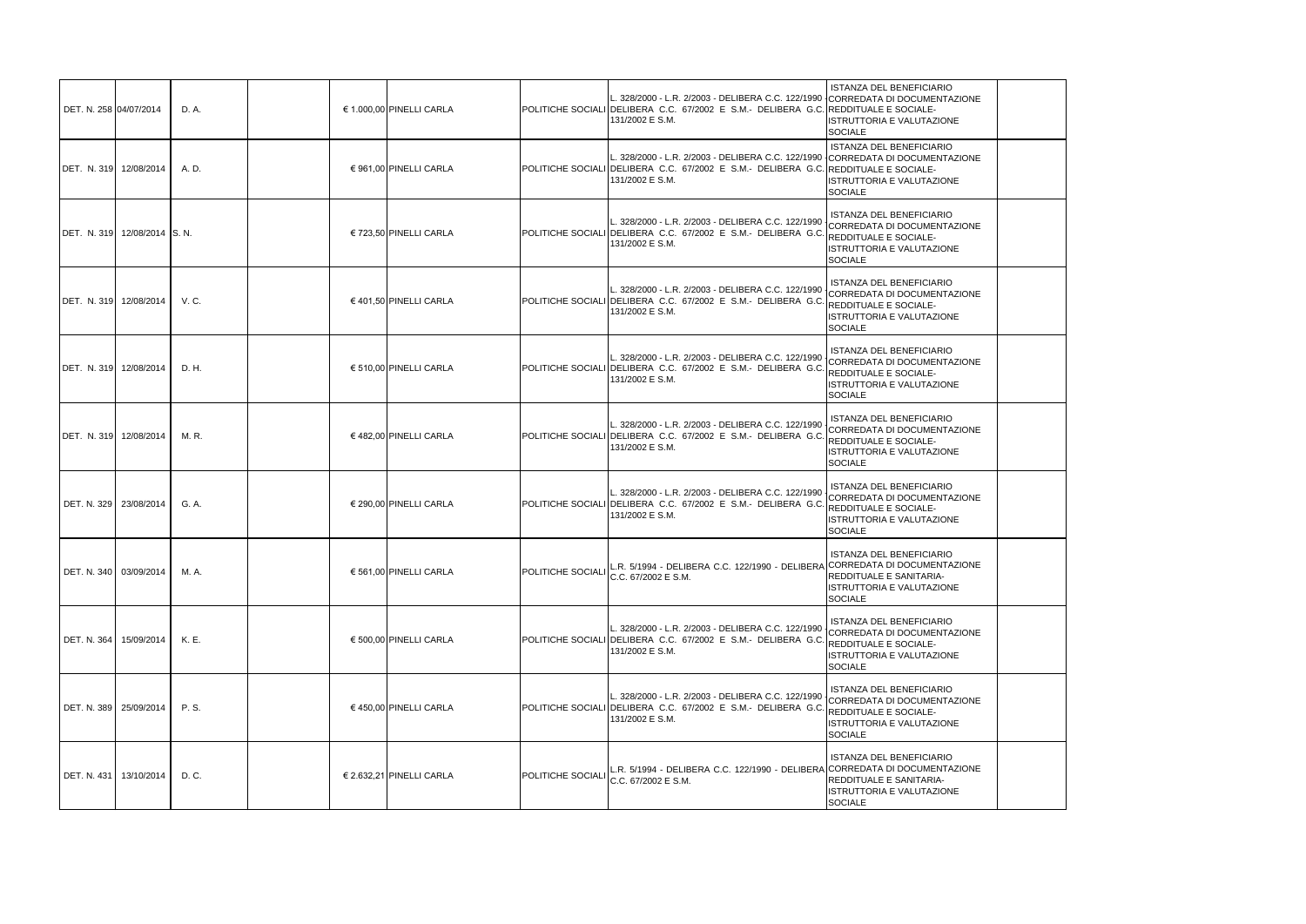| DET. N. 258 04/07/2014   |                              | D. A. | € 1.000,00 PINELLI CARLA |                   | L. 328/2000 - L.R. 2/2003 - DELIBERA C.C. 122/1990 CORREDATA DI DOCUMENTAZIONE<br>POLITICHE SOCIALI DELIBERA C.C. 67/2002 E S.M.- DELIBERA G.C. REDDITUALE E SOCIALE-<br>131/2002 E S.M. | ISTANZA DEL BENEFICIARIO<br><b>ISTRUTTORIA E VALUTAZIONE</b><br><b>SOCIALE</b>                                                                |
|--------------------------|------------------------------|-------|--------------------------|-------------------|------------------------------------------------------------------------------------------------------------------------------------------------------------------------------------------|-----------------------------------------------------------------------------------------------------------------------------------------------|
|                          | DET. N. 319 12/08/2014       | A. D. | € 961,00 PINELLI CARLA   |                   | L. 328/2000 - L.R. 2/2003 - DELIBERA C.C. 122/1990 CORREDATA DI DOCUMENTAZIONE<br>POLITICHE SOCIALI DELIBERA C.C. 67/2002 E S.M.- DELIBERA G.C. REDDITUALE E SOCIALE-<br>131/2002 E S.M. | <b>ISTANZA DEL BENEFICIARIO</b><br>ISTRUTTORIA E VALUTAZIONE<br><b>SOCIALE</b>                                                                |
|                          | DET. N. 319 12/08/2014 S. N. |       | € 723,50 PINELLI CARLA   |                   | L. 328/2000 - L.R. 2/2003 - DELIBERA C.C. 122/1990<br>POLITICHE SOCIALI DELIBERA C.C. 67/2002 E S.M.- DELIBERA G.C.<br>131/2002 E S.M.                                                   | <b>ISTANZA DEL BENEFICIARIO</b><br>CORREDATA DI DOCUMENTAZIONE<br>REDDITUALE E SOCIALE-<br>ISTRUTTORIA E VALUTAZIONE<br><b>SOCIALE</b>        |
|                          | DET. N. 319 12/08/2014       | V.C.  | € 401,50 PINELLI CARLA   |                   | L. 328/2000 - L.R. 2/2003 - DELIBERA C.C. 122/1990<br>POLITICHE SOCIALI IDELIBERA C.C. 67/2002 E S.M.- DELIBERA G.C.<br>131/2002 E S.M.                                                  | <b>ISTANZA DEL BENEFICIARIO</b><br>CORREDATA DI DOCUMENTAZIONE<br>REDDITUALE E SOCIALE-<br><b>ISTRUTTORIA E VALUTAZIONE</b><br><b>SOCIALE</b> |
|                          | DET. N. 319 12/08/2014       | D. H. | € 510,00 PINELLI CARLA   |                   | L. 328/2000 - L.R. 2/2003 - DELIBERA C.C. 122/1990<br>POLITICHE SOCIALI DELIBERA C.C. 67/2002 E S.M.- DELIBERA G.C.<br>131/2002 E S.M.                                                   | <b>ISTANZA DEL BENEFICIARIO</b><br>CORREDATA DI DOCUMENTAZIONE<br><b>REDDITUALE E SOCIALE-</b><br>ISTRUTTORIA E VALUTAZIONE<br><b>SOCIALE</b> |
|                          | DET. N. 319 12/08/2014       | M. R. | € 482,00 PINELLI CARLA   |                   | L. 328/2000 - L.R. 2/2003 - DELIBERA C.C. 122/1990<br>POLITICHE SOCIALI DELIBERA C.C. 67/2002 E S.M.- DELIBERA G.C.<br>131/2002 E S.M.                                                   | ISTANZA DEL BENEFICIARIO<br>CORREDATA DI DOCUMENTAZIONE<br><b>REDDITUALE E SOCIALE-</b><br><b>ISTRUTTORIA E VALUTAZIONE</b><br><b>SOCIALE</b> |
|                          | DET. N. 329 23/08/2014       | G. A. | € 290,00 PINELLI CARLA   |                   | L. 328/2000 - L.R. 2/2003 - DELIBERA C.C. 122/1990<br>POLITICHE SOCIALI DELIBERA C.C. 67/2002 E S.M.- DELIBERA G.C.<br>131/2002 E S.M.                                                   | <b>ISTANZA DEL BENEFICIARIO</b><br>CORREDATA DI DOCUMENTAZIONE<br>REDDITUALE E SOCIALE-<br>ISTRUTTORIA E VALUTAZIONE<br><b>SOCIALE</b>        |
|                          | DET. N. 340 03/09/2014       | M. A. | € 561,00 PINELLI CARLA   | POLITICHE SOCIALI | R. 5/1994 - DELIBERA C.C. 122/1990 - DELIBERA CORREDATA DI DOCUMENTAZIONE<br>C.C. 67/2002 E S.M.                                                                                         | <b>ISTANZA DEL BENEFICIARIO</b><br>REDDITUALE E SANITARIA-<br><b>ISTRUTTORIA E VALUTAZIONE</b><br><b>SOCIALE</b>                              |
|                          | DET. N. 364   15/09/2014     | K. E. | € 500,00 PINELLI CARLA   |                   | L. 328/2000 - L.R. 2/2003 - DELIBERA C.C. 122/1990<br>POLITICHE SOCIALI DELIBERA C.C. 67/2002 E S.M. DELIBERA G.C. REDDITUALE E SOCIALE-<br>131/2002 E S.M.                              | ISTANZA DEL BENEFICIARIO<br>CORREDATA DI DOCUMENTAZIONE<br>ISTRUTTORIA E VALUTAZIONE<br><b>SOCIALE</b>                                        |
|                          | DET. N. 389 25/09/2014       | P. S. | € 450,00 PINELLI CARLA   |                   | L. 328/2000 - L.R. 2/2003 - DELIBERA C.C. 122/1990<br>POLITICHE SOCIALI DELIBERA C.C. 67/2002 E S.M.- DELIBERA G.C. REDDITUALE E SOCIALE-<br>131/2002 E S.M.                             | <b>ISTANZA DEL BENEFICIARIO</b><br>CORREDATA DI DOCUMENTAZIONE<br><b>ISTRUTTORIA E VALUTAZIONE</b><br><b>SOCIALE</b>                          |
| DET. N. 431   13/10/2014 |                              | D. C. | € 2.632,21 PINELLI CARLA | POLITICHE SOCIALI | L.R. 5/1994 - DELIBERA C.C. 122/1990 - DELIBERA CORREDATA DI DOCUMENTAZIONE<br>C.C. 67/2002 E S.M.                                                                                       | <b>ISTANZA DEL BENEFICIARIO</b><br>REDDITUALE E SANITARIA-<br>ISTRUTTORIA E VALUTAZIONE<br>SOCIALE                                            |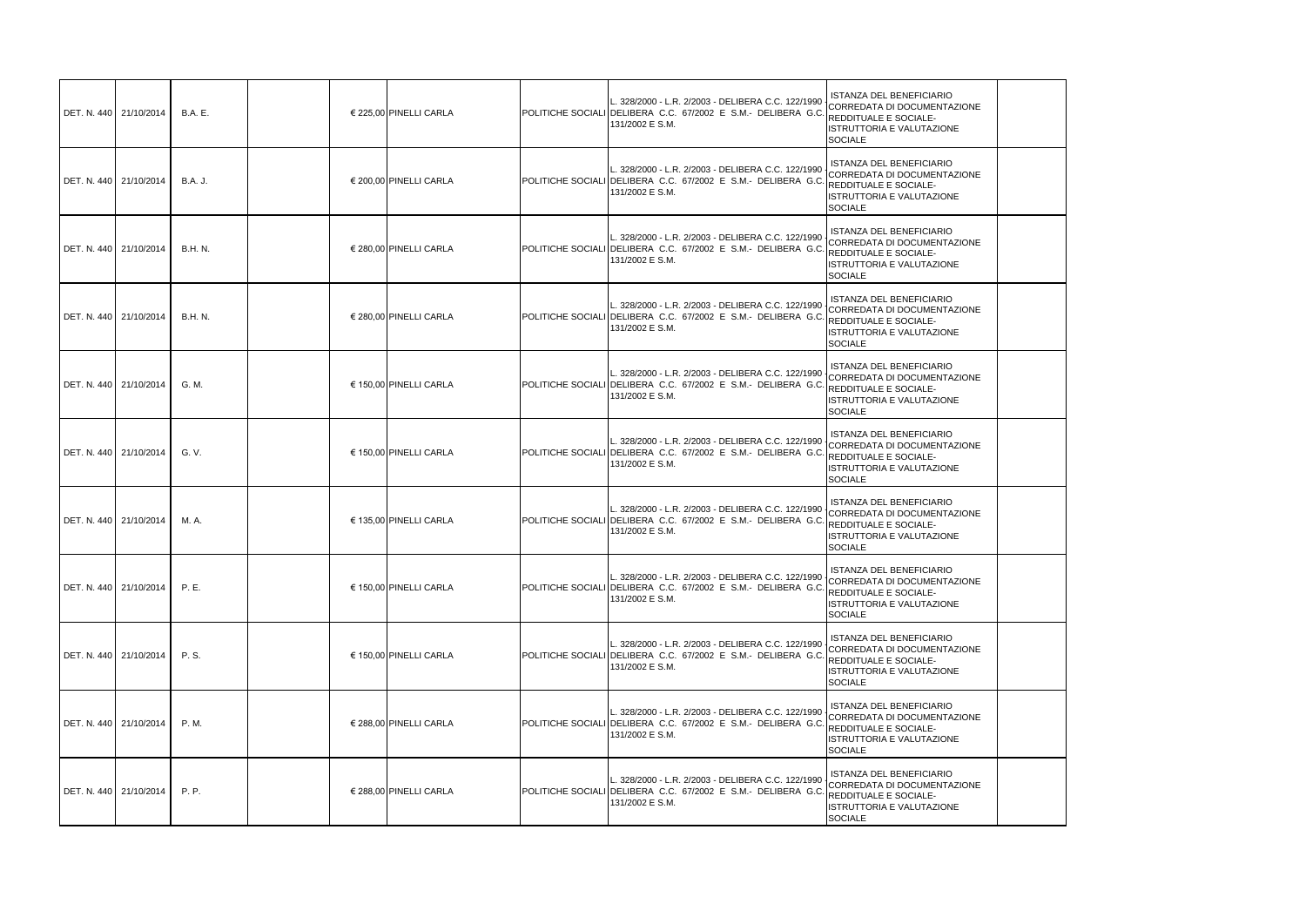| DET. N. 440 21/10/2014   | <b>B.A.</b> E. | € 225,00 PINELLI CARLA | L. 328/2000 - L.R. 2/2003 - DELIBERA C.C. 122/1990<br>POLITICHE SOCIALI DELIBERA C.C. 67/2002 E S.M.- DELIBERA G.(<br>131/2002 E S.M.                        | <b>ISTANZA DEL BENEFICIARIO</b><br>CORREDATA DI DOCUMENTAZIONE<br>REDDITUALE E SOCIALE-<br>ISTRUTTORIA E VALUTAZIONE<br><b>SOCIALE</b>               |
|--------------------------|----------------|------------------------|--------------------------------------------------------------------------------------------------------------------------------------------------------------|------------------------------------------------------------------------------------------------------------------------------------------------------|
| DET. N. 440 21/10/2014   | <b>B.A. J.</b> | € 200,00 PINELLI CARLA | L. 328/2000 - L.R. 2/2003 - DELIBERA C.C. 122/199(<br>POLITICHE SOCIALI DELIBERA C.C. 67/2002 E S.M.- DELIBERA G.C<br>131/2002 E S.M.                        | <b>ISTANZA DEL BENEFICIARIO</b><br>CORREDATA DI DOCUMENTAZIONE<br><b>REDDITUALE E SOCIALE-</b><br>ISTRUTTORIA E VALUTAZIONE<br><b>SOCIALE</b>        |
| DET. N. 440   21/10/2014 | <b>B.H. N.</b> | € 280,00 PINELLI CARLA | L. 328/2000 - L.R. 2/2003 - DELIBERA C.C. 122/1990<br>POLITICHE SOCIALI DELIBERA C.C. 67/2002 E S.M.- DELIBERA G.(<br>131/2002 E S.M.                        | <b>ISTANZA DEL BENEFICIARIO</b><br>CORREDATA DI DOCUMENTAZIONE<br>REDDITUALE E SOCIALE-<br>ISTRUTTORIA E VALUTAZIONE<br>SOCIALE                      |
| DET. N. 440 21/10/2014   | <b>B.H. N.</b> | € 280,00 PINELLI CARLA | L. 328/2000 - L.R. 2/2003 - DELIBERA C.C. 122/1990<br>POLITICHE SOCIALI DELIBERA C.C. 67/2002 E S.M.- DELIBERA G.(<br>131/2002 E S.M.                        | <b>ISTANZA DEL BENEFICIARIO</b><br>CORREDATA DI DOCUMENTAZIONE<br><b>REDDITUALE E SOCIALE-</b><br><b>ISTRUTTORIA E VALUTAZIONE</b><br><b>SOCIALE</b> |
| DET. N. 440   21/10/2014 | G. M.          | € 150,00 PINELLI CARLA | L. 328/2000 - L.R. 2/2003 - DELIBERA C.C. 122/1990<br>POLITICHE SOCIALI DELIBERA C.C. 67/2002 E S.M.- DELIBERA G.C. REDDITUALE E SOCIALE-<br>131/2002 E S.M. | <b>ISTANZA DEL BENEFICIARIO</b><br>CORREDATA DI DOCUMENTAZIONE<br>ISTRUTTORIA E VALUTAZIONE<br><b>SOCIALE</b>                                        |
| DET. N. 440 21/10/2014   | G. V.          | € 150,00 PINELLI CARLA | L. 328/2000 - L.R. 2/2003 - DELIBERA C.C. 122/1990<br>POLITICHE SOCIALI DELIBERA C.C. 67/2002 E S.M.- DELIBERA G.<br>131/2002 E S.M.                         | <b>ISTANZA DEL BENEFICIARIO</b><br>CORREDATA DI DOCUMENTAZIONE<br><b>REDDITUALE E SOCIALE-</b><br>ISTRUTTORIA E VALUTAZIONE<br><b>SOCIALE</b>        |
| DET. N. 440 21/10/2014   | M. A.          | € 135,00 PINELLI CARLA | L. 328/2000 - L.R. 2/2003 - DELIBERA C.C. 122/1990<br>POLITICHE SOCIALI DELIBERA C.C. 67/2002 E S.M.- DELIBERA G.C<br>131/2002 E S.M.                        | <b>ISTANZA DEL BENEFICIARIO</b><br>CORREDATA DI DOCUMENTAZIONE<br><b>REDDITUALE E SOCIALE-</b><br>ISTRUTTORIA E VALUTAZIONE<br><b>SOCIALE</b>        |
| DET. N. 440 21/10/2014   | P.E.           | € 150,00 PINELLI CARLA | L. 328/2000 - L.R. 2/2003 - DELIBERA C.C. 122/1990<br>POLITICHE SOCIALI DELIBERA C.C. 67/2002 E S.M. DELIBERA G.C. REDDITUALE E SOCIALE-<br>131/2002 E S.M.  | <b>ISTANZA DEL BENEFICIARIO</b><br>CORREDATA DI DOCUMENTAZIONE<br>ISTRUTTORIA E VALUTAZIONE<br><b>SOCIALE</b>                                        |
| DET. N. 440 21/10/2014   | P. S.          | € 150,00 PINELLI CARLA | 328/2000 - L.R. 2/2003 - DELIBERA C.C. 122/1990<br>POLITICHE SOCIALI DELIBERA C.C. 67/2002 E S.M.- DELIBERA G.(<br>131/2002 E S.M.                           | <b>ISTANZA DEL BENEFICIARIO</b><br>CORREDATA DI DOCUMENTAZIONE<br>REDDITUALE E SOCIALE-<br>ISTRUTTORIA E VALUTAZIONE<br><b>SOCIALE</b>               |
| DET. N. 440 21/10/2014   | P. M.          | € 288,00 PINELLI CARLA | L. 328/2000 - L.R. 2/2003 - DELIBERA C.C. 122/1990<br>POLITICHE SOCIALI DELIBERA C.C. 67/2002 E S.M.- DELIBERA G.C<br>131/2002 E S.M.                        | <b>ISTANZA DEL BENEFICIARIO</b><br>CORREDATA DI DOCUMENTAZIONE<br>REDDITUALE E SOCIALE-<br>ISTRUTTORIA E VALUTAZIONE<br><b>SOCIALE</b>               |
| DET. N. 440 21/10/2014   | P.P.           | € 288,00 PINELLI CARLA | L. 328/2000 - L.R. 2/2003 - DELIBERA C.C. 122/1990<br>POLITICHE SOCIALI DELIBERA C.C. 67/2002 E S.M.- DELIBERA G.(<br>131/2002 E S.M.                        | <b>ISTANZA DEL BENEFICIARIO</b><br>CORREDATA DI DOCUMENTAZIONE<br>FIREDDITUALE E SOCIALE-<br>ISTRUTTORIA E VALUTAZIONE<br><b>SOCIALE</b>             |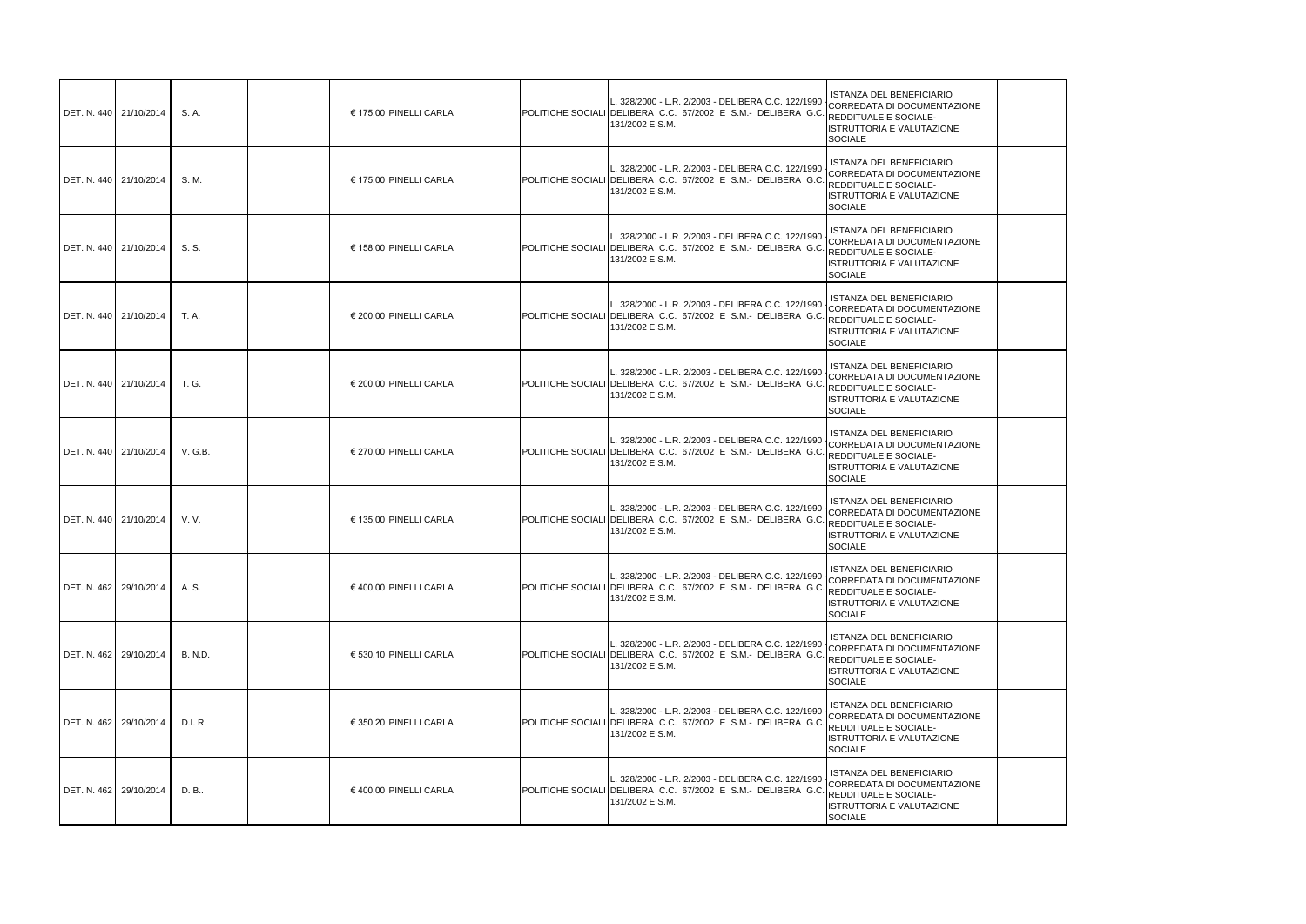| DET. N. 440 21/10/2014 |                        | S. A.          | € 175,00 PINELLI CARLA | L. 328/2000 - L.R. 2/2003 - DELIBERA C.C. 122/1990<br>POLITICHE SOCIALI DELIBERA C.C. 67/2002 E S.M.- DELIBERA G.C.<br>131/2002 E S.M. | ISTANZA DEL BENEFICIARIO<br>CORREDATA DI DOCUMENTAZIONE<br>REDDITUALE E SOCIALE-<br>STRUTTORIA E VALUTAZIONE<br><b>SOCIALE</b>         |
|------------------------|------------------------|----------------|------------------------|----------------------------------------------------------------------------------------------------------------------------------------|----------------------------------------------------------------------------------------------------------------------------------------|
| DET. N. 440 21/10/2014 |                        | S. M.          | € 175.00 PINELLI CARLA | L. 328/2000 - L.R. 2/2003 - DELIBERA C.C. 122/1990<br>POLITICHE SOCIALI DELIBERA C.C. 67/2002 E S.M.- DELIBERA G.C.<br>131/2002 E S.M. | ISTANZA DEL BENEFICIARIO<br>CORREDATA DI DOCUMENTAZIONE<br>REDDITUALE E SOCIALE-<br>STRUTTORIA E VALUTAZIONE<br><b>SOCIALE</b>         |
| DET. N. 440 21/10/2014 |                        | S. S.          | € 158,00 PINELLI CARLA | L. 328/2000 - L.R. 2/2003 - DELIBERA C.C. 122/1990<br>POLITICHE SOCIALI DELIBERA C.C. 67/2002 E S.M.- DELIBERA G.C<br>131/2002 E S.M.  | ISTANZA DEL BENEFICIARIO<br>CORREDATA DI DOCUMENTAZIONE<br>REDDITUALE E SOCIALE-<br>ISTRUTTORIA E VALUTAZIONE<br>SOCIALE               |
|                        | DET. N. 440 21/10/2014 | T. A.          | € 200,00 PINELLI CARLA | L. 328/2000 - L.R. 2/2003 - DELIBERA C.C. 122/1990<br>POLITICHE SOCIALI DELIBERA C.C. 67/2002 E S.M.- DELIBERA G.C<br>131/2002 E S.M.  | ISTANZA DEL BENEFICIARIO<br>CORREDATA DI DOCUMENTAZIONE<br>REDDITUALE E SOCIALE-<br>STRUTTORIA E VALUTAZIONE<br><b>SOCIALE</b>         |
|                        | DET. N. 440 21/10/2014 | T. G.          | € 200,00 PINELLI CARLA | L. 328/2000 - L.R. 2/2003 - DELIBERA C.C. 122/1990<br>POLITICHE SOCIALI DELIBERA C.C. 67/2002 E S.M.- DELIBERA G.C.<br>131/2002 E S.M. | ISTANZA DEL BENEFICIARIO<br>CORREDATA DI DOCUMENTAZIONE<br>REDDITUALE E SOCIALE-<br><b>ISTRUTTORIA E VALUTAZIONE</b><br><b>SOCIALE</b> |
| DET. N. 440 21/10/2014 |                        | V. G.B.        | € 270,00 PINELLI CARLA | L. 328/2000 - L.R. 2/2003 - DELIBERA C.C. 122/1990<br>POLITICHE SOCIALI DELIBERA C.C. 67/2002 E S.M.- DELIBERA G.C<br>131/2002 E S.M.  | ISTANZA DEL BENEFICIARIO<br>CORREDATA DI DOCUMENTAZIONE<br>REDDITUALE E SOCIALE-<br>ISTRUTTORIA E VALUTAZIONE<br><b>SOCIALE</b>        |
| DET. N. 440 21/10/2014 |                        | V. V.          | € 135,00 PINELLI CARLA | L. 328/2000 - L.R. 2/2003 - DELIBERA C.C. 122/1990<br>POLITICHE SOCIALI DELIBERA C.C. 67/2002 E S.M.- DELIBERA G.C.<br>131/2002 E S.M. | ISTANZA DEL BENEFICIARIO<br>CORREDATA DI DOCUMENTAZIONE<br>REDDITUALE E SOCIALE-<br><b>ISTRUTTORIA E VALUTAZIONE</b><br><b>SOCIALE</b> |
| DET. N. 462 29/10/2014 |                        | A. S.          | € 400.00 PINELLI CARLA | L. 328/2000 - L.R. 2/2003 - DELIBERA C.C. 122/1990<br>POLITICHE SOCIALI DELIBERA C.C. 67/2002 E S.M.- DELIBERA G.C.<br>131/2002 E S.M. | ISTANZA DEL BENEFICIARIO<br>CORREDATA DI DOCUMENTAZIONE<br>REDDITUALE E SOCIALE-<br>STRUTTORIA E VALUTAZIONE<br><b>SOCIALE</b>         |
| DET. N. 462 29/10/2014 |                        | <b>B. N.D.</b> | € 530,10 PINELLI CARLA | L. 328/2000 - L.R. 2/2003 - DELIBERA C.C. 122/1990<br>POLITICHE SOCIALI DELIBERA C.C. 67/2002 E S.M.- DELIBERA G.C<br>131/2002 E S.M.  | ISTANZA DEL BENEFICIARIO<br>CORREDATA DI DOCUMENTAZIONE<br>REDDITUALE E SOCIALE-<br><b>ISTRUTTORIA E VALUTAZIONE</b><br>SOCIALE        |
| DET. N. 462 29/10/2014 |                        | D.I. R.        | € 350,20 PINELLI CARLA | L. 328/2000 - L.R. 2/2003 - DELIBERA C.C. 122/1990<br>POLITICHE SOCIALI DELIBERA C.C. 67/2002 E S.M.- DELIBERA G.C.<br>131/2002 E S.M. | ISTANZA DEL BENEFICIARIO<br>CORREDATA DI DOCUMENTAZIONE<br>REDDITUALE E SOCIALE-<br>ISTRUTTORIA E VALUTAZIONE<br>SOCIALE               |
| DET. N. 462 29/10/2014 |                        | D. B           | € 400,00 PINELLI CARLA | L. 328/2000 - L.R. 2/2003 - DELIBERA C.C. 122/1990<br>POLITICHE SOCIALI DELIBERA C.C. 67/2002 E S.M.- DELIBERA G.C.<br>131/2002 E S.M. | ISTANZA DEL BENEFICIARIO<br>CORREDATA DI DOCUMENTAZIONE<br>REDDITUALE E SOCIALE-<br>STRUTTORIA E VALUTAZIONE<br><b>SOCIALE</b>         |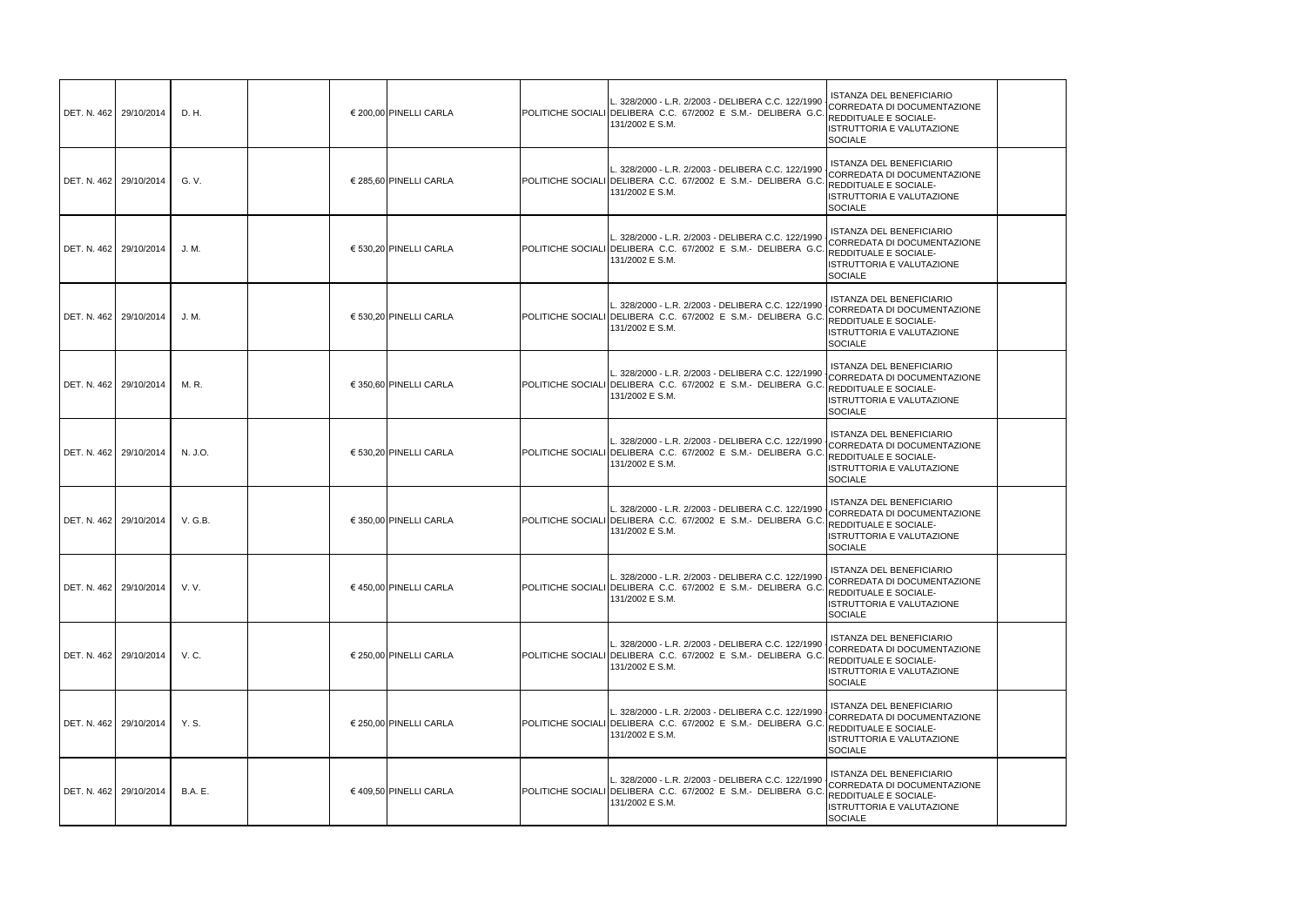| DET. N. 462 29/10/2014 |                        | D. H.          | € 200,00 PINELLI CARLA | L. 328/2000 - L.R. 2/2003 - DELIBERA C.C. 122/1990<br>POLITICHE SOCIALI DELIBERA C.C. 67/2002 E S.M.- DELIBERA G.(<br>131/2002 E S.M.                        | <b>ISTANZA DEL BENEFICIARIO</b><br>CORREDATA DI DOCUMENTAZIONE<br>REDDITUALE E SOCIALE-<br>ISTRUTTORIA E VALUTAZIONE<br><b>SOCIALE</b>               |
|------------------------|------------------------|----------------|------------------------|--------------------------------------------------------------------------------------------------------------------------------------------------------------|------------------------------------------------------------------------------------------------------------------------------------------------------|
|                        | DET. N. 462 29/10/2014 | G. V.          | € 285,60 PINELLI CARLA | 328/2000 - L.R. 2/2003 - DELIBERA C.C. 122/1990<br>POLITICHE SOCIALI DELIBERA C.C. 67/2002 E S.M.- DELIBERA G.C<br>131/2002 E S.M.                           | <b>ISTANZA DEL BENEFICIARIO</b><br>CORREDATA DI DOCUMENTAZIONE<br><b>REDDITUALE E SOCIALE-</b><br><b>ISTRUTTORIA E VALUTAZIONE</b><br><b>SOCIALE</b> |
|                        | DET. N. 462 29/10/2014 | J. M.          | € 530,20 PINELLI CARLA | L. 328/2000 - L.R. 2/2003 - DELIBERA C.C. 122/1990<br>POLITICHE SOCIALI DELIBERA C.C. 67/2002 E S.M.- DELIBERA G.(<br>131/2002 E S.M.                        | <b>ISTANZA DEL BENEFICIARIO</b><br>CORREDATA DI DOCUMENTAZIONE<br>REDDITUALE E SOCIALE-<br>ISTRUTTORIA E VALUTAZIONE<br><b>SOCIALE</b>               |
|                        | DET. N. 462 29/10/2014 | J. M.          | € 530,20 PINELLI CARLA | L. 328/2000 - L.R. 2/2003 - DELIBERA C.C. 122/1990<br>POLITICHE SOCIALI DELIBERA C.C. 67/2002 E S.M.- DELIBERA G.(<br>131/2002 E S.M.                        | <b>ISTANZA DEL BENEFICIARIO</b><br>CORREDATA DI DOCUMENTAZIONE<br><b>REDDITUALE E SOCIALE-</b><br><b>ISTRUTTORIA E VALUTAZIONE</b><br><b>SOCIALE</b> |
|                        | DET. N. 462 29/10/2014 | M. R.          | € 350,60 PINELLI CARLA | L. 328/2000 - L.R. 2/2003 - DELIBERA C.C. 122/1990<br>POLITICHE SOCIALI DELIBERA C.C. 67/2002 E S.M.- DELIBERA G.C. REDDITUALE E SOCIALE-<br>131/2002 E S.M. | <b>ISTANZA DEL BENEFICIARIO</b><br>CORREDATA DI DOCUMENTAZIONE<br>ISTRUTTORIA E VALUTAZIONE<br><b>SOCIALE</b>                                        |
|                        | DET. N. 462 29/10/2014 | N. J.O.        | € 530,20 PINELLI CARLA | L. 328/2000 - L.R. 2/2003 - DELIBERA C.C. 122/1990<br>POLITICHE SOCIALI DELIBERA C.C. 67/2002 E S.M.- DELIBERA G.<br>131/2002 E S.M.                         | <b>ISTANZA DEL BENEFICIARIO</b><br>CORREDATA DI DOCUMENTAZIONE<br><b>REDDITUALE E SOCIALE-</b><br>ISTRUTTORIA E VALUTAZIONE<br><b>SOCIALE</b>        |
| DET. N. 462 29/10/2014 |                        | V. G.B.        | € 350,00 PINELLI CARLA | L. 328/2000 - L.R. 2/2003 - DELIBERA C.C. 122/1990<br>POLITICHE SOCIALI DELIBERA C.C. 67/2002 E S.M.- DELIBERA G.C<br>131/2002 E S.M.                        | <b>ISTANZA DEL BENEFICIARIO</b><br>CORREDATA DI DOCUMENTAZIONE<br><b>REDDITUALE E SOCIALE-</b><br>ISTRUTTORIA E VALUTAZIONE<br><b>SOCIALE</b>        |
|                        | DET. N. 462 29/10/2014 | V. V.          | € 450,00 PINELLI CARLA | L. 328/2000 - L.R. 2/2003 - DELIBERA C.C. 122/1990<br>POLITICHE SOCIALI DELIBERA C.C. 67/2002 E S.M. DELIBERA G.C. REDDITUALE E SOCIALE-<br>131/2002 E S.M.  | <b>ISTANZA DEL BENEFICIARIO</b><br>CORREDATA DI DOCUMENTAZIONE<br>ISTRUTTORIA E VALUTAZIONE<br><b>SOCIALE</b>                                        |
|                        | DET. N. 462 29/10/2014 | V.C.           | € 250,00 PINELLI CARLA | 328/2000 - L.R. 2/2003 - DELIBERA C.C. 122/1990<br>POLITICHE SOCIALI DELIBERA C.C. 67/2002 E S.M.- DELIBERA G.(<br>131/2002 E S.M.                           | <b>ISTANZA DEL BENEFICIARIO</b><br>CORREDATA DI DOCUMENTAZIONE<br>REDDITUALE E SOCIALE-<br>ISTRUTTORIA E VALUTAZIONE<br><b>SOCIALE</b>               |
|                        | DET. N. 462 29/10/2014 | Y. S.          | € 250,00 PINELLI CARLA | L. 328/2000 - L.R. 2/2003 - DELIBERA C.C. 122/1990<br>POLITICHE SOCIALI DELIBERA C.C. 67/2002 E S.M.- DELIBERA G.C<br>131/2002 E S.M.                        | <b>ISTANZA DEL BENEFICIARIO</b><br>CORREDATA DI DOCUMENTAZIONE<br>REDDITUALE E SOCIALE-<br>ISTRUTTORIA E VALUTAZIONE<br><b>SOCIALE</b>               |
| DET. N. 462 29/10/2014 |                        | <b>B.A.</b> E. | € 409,50 PINELLI CARLA | L. 328/2000 - L.R. 2/2003 - DELIBERA C.C. 122/1990<br>POLITICHE SOCIALI DELIBERA C.C. 67/2002 E S.M.- DELIBERA G.C<br>131/2002 E S.M.                        | <b>ISTANZA DEL BENEFICIARIO</b><br>CORREDATA DI DOCUMENTAZIONE<br>FIREDDITUALE E SOCIALE-<br>ISTRUTTORIA E VALUTAZIONE<br><b>SOCIALE</b>             |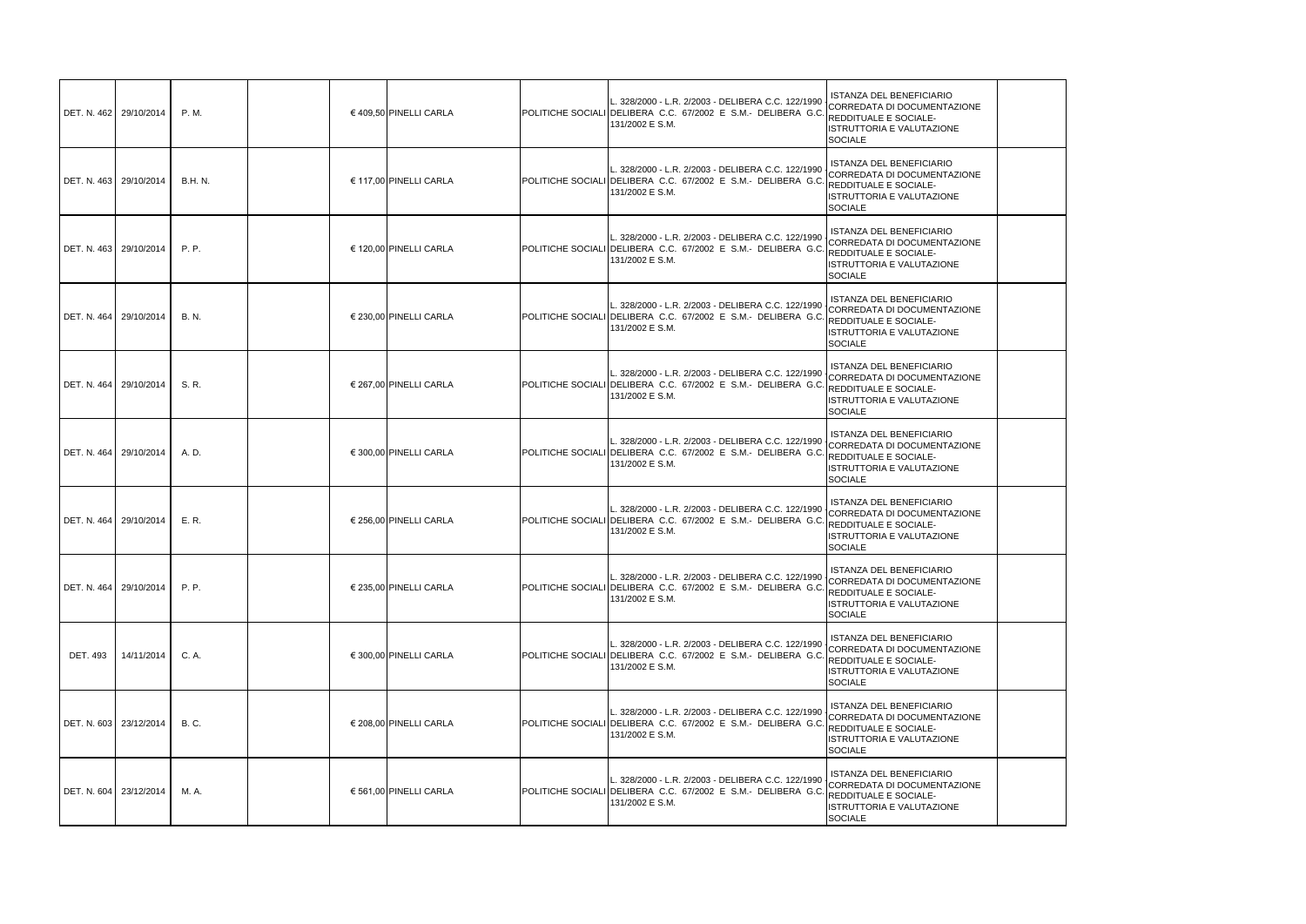| DET. N. 462 29/10/2014 |                          | P. M.          | € 409,50 PINELLI CARLA | L. 328/2000 - L.R. 2/2003 - DELIBERA C.C. 122/1990<br>POLITICHE SOCIALI DELIBERA C.C. 67/2002 E S.M.- DELIBERA G.(<br>131/2002 E S.M.                        | <b>ISTANZA DEL BENEFICIARIO</b><br>CORREDATA DI DOCUMENTAZIONE<br>REDDITUALE E SOCIALE-<br>ISTRUTTORIA E VALUTAZIONE<br><b>SOCIALE</b>               |
|------------------------|--------------------------|----------------|------------------------|--------------------------------------------------------------------------------------------------------------------------------------------------------------|------------------------------------------------------------------------------------------------------------------------------------------------------|
|                        | DET. N. 463 29/10/2014   | <b>B.H. N.</b> | € 117,00 PINELLI CARLA | 328/2000 - L.R. 2/2003 - DELIBERA C.C. 122/1990<br>POLITICHE SOCIALI DELIBERA C.C. 67/2002 E S.M.- DELIBERA G.C<br>131/2002 E S.M.                           | <b>ISTANZA DEL BENEFICIARIO</b><br>CORREDATA DI DOCUMENTAZIONE<br><b>REDDITUALE E SOCIALE-</b><br>ISTRUTTORIA E VALUTAZIONE<br><b>SOCIALE</b>        |
|                        | DET. N. 463   29/10/2014 | <b>P.P.</b>    | € 120,00 PINELLI CARLA | L. 328/2000 - L.R. 2/2003 - DELIBERA C.C. 122/1990<br>POLITICHE SOCIALI DELIBERA C.C. 67/2002 E S.M.- DELIBERA G.(<br>131/2002 E S.M.                        | <b>ISTANZA DEL BENEFICIARIO</b><br>CORREDATA DI DOCUMENTAZIONE<br>REDDITUALE E SOCIALE-<br>ISTRUTTORIA E VALUTAZIONE<br>SOCIALE                      |
| DET. N. 464 29/10/2014 |                          | <b>B.N.</b>    | € 230,00 PINELLI CARLA | L. 328/2000 - L.R. 2/2003 - DELIBERA C.C. 122/1990<br>POLITICHE SOCIALI DELIBERA C.C. 67/2002 E S.M.- DELIBERA G.(<br>131/2002 E S.M.                        | <b>ISTANZA DEL BENEFICIARIO</b><br>CORREDATA DI DOCUMENTAZIONE<br><b>REDDITUALE E SOCIALE-</b><br><b>ISTRUTTORIA E VALUTAZIONE</b><br><b>SOCIALE</b> |
| DET. N. 464 29/10/2014 |                          | S. R.          | € 267,00 PINELLI CARLA | L. 328/2000 - L.R. 2/2003 - DELIBERA C.C. 122/1990<br>POLITICHE SOCIALI DELIBERA C.C. 67/2002 E S.M.- DELIBERA G.C. REDDITUALE E SOCIALE-<br>131/2002 E S.M. | <b>ISTANZA DEL BENEFICIARIO</b><br>CORREDATA DI DOCUMENTAZIONE<br>ISTRUTTORIA E VALUTAZIONE<br><b>SOCIALE</b>                                        |
|                        | DET. N. 464 29/10/2014   | A. D.          | € 300,00 PINELLI CARLA | L. 328/2000 - L.R. 2/2003 - DELIBERA C.C. 122/1990<br>POLITICHE SOCIALI DELIBERA C.C. 67/2002 E S.M.- DELIBERA G.<br>131/2002 E S.M.                         | <b>ISTANZA DEL BENEFICIARIO</b><br>CORREDATA DI DOCUMENTAZIONE<br><b>REDDITUALE E SOCIALE-</b><br>ISTRUTTORIA E VALUTAZIONE<br><b>SOCIALE</b>        |
| DET. N. 464 29/10/2014 |                          | E. R.          | € 256,00 PINELLI CARLA | L. 328/2000 - L.R. 2/2003 - DELIBERA C.C. 122/1990<br>POLITICHE SOCIALI DELIBERA C.C. 67/2002 E S.M.- DELIBERA G.C<br>131/2002 E S.M.                        | <b>ISTANZA DEL BENEFICIARIO</b><br>CORREDATA DI DOCUMENTAZIONE<br><b>REDDITUALE E SOCIALE-</b><br>ISTRUTTORIA E VALUTAZIONE<br><b>SOCIALE</b>        |
|                        | DET. N. 464 29/10/2014   | P.P.           | € 235,00 PINELLI CARLA | L. 328/2000 - L.R. 2/2003 - DELIBERA C.C. 122/1990<br>POLITICHE SOCIALI DELIBERA C.C. 67/2002 E S.M. DELIBERA G.C. REDDITUALE E SOCIALE-<br>131/2002 E S.M.  | <b>ISTANZA DEL BENEFICIARIO</b><br>CORREDATA DI DOCUMENTAZIONE<br>ISTRUTTORIA E VALUTAZIONE<br><b>SOCIALE</b>                                        |
| <b>DET. 493</b>        | 14/11/2014               | C. A.          | € 300.00 PINELLI CARLA | 328/2000 - L.R. 2/2003 - DELIBERA C.C. 122/1990<br>POLITICHE SOCIALI DELIBERA C.C. 67/2002 E S.M.- DELIBERA G.(<br>131/2002 E S.M.                           | <b>ISTANZA DEL BENEFICIARIO</b><br>CORREDATA DI DOCUMENTAZIONE<br>REDDITUALE E SOCIALE-<br>ISTRUTTORIA E VALUTAZIONE<br><b>SOCIALE</b>               |
| DET. N. 603 23/12/2014 |                          | <b>B.C.</b>    | € 208,00 PINELLI CARLA | L. 328/2000 - L.R. 2/2003 - DELIBERA C.C. 122/1990<br>POLITICHE SOCIALI DELIBERA C.C. 67/2002 E S.M.- DELIBERA G.C<br>131/2002 E S.M.                        | <b>ISTANZA DEL BENEFICIARIO</b><br>CORREDATA DI DOCUMENTAZIONE<br>REDDITUALE E SOCIALE-<br>ISTRUTTORIA E VALUTAZIONE<br><b>SOCIALE</b>               |
|                        | DET. N. 604 23/12/2014   | M. A.          | € 561,00 PINELLI CARLA | L. 328/2000 - L.R. 2/2003 - DELIBERA C.C. 122/1990<br>POLITICHE SOCIALI DELIBERA C.C. 67/2002 E S.M.- DELIBERA G.(<br>131/2002 E S.M.                        | <b>ISTANZA DEL BENEFICIARIO</b><br>CORREDATA DI DOCUMENTAZIONE<br>FIREDDITUALE E SOCIALE-<br>ISTRUTTORIA E VALUTAZIONE<br><b>SOCIALE</b>             |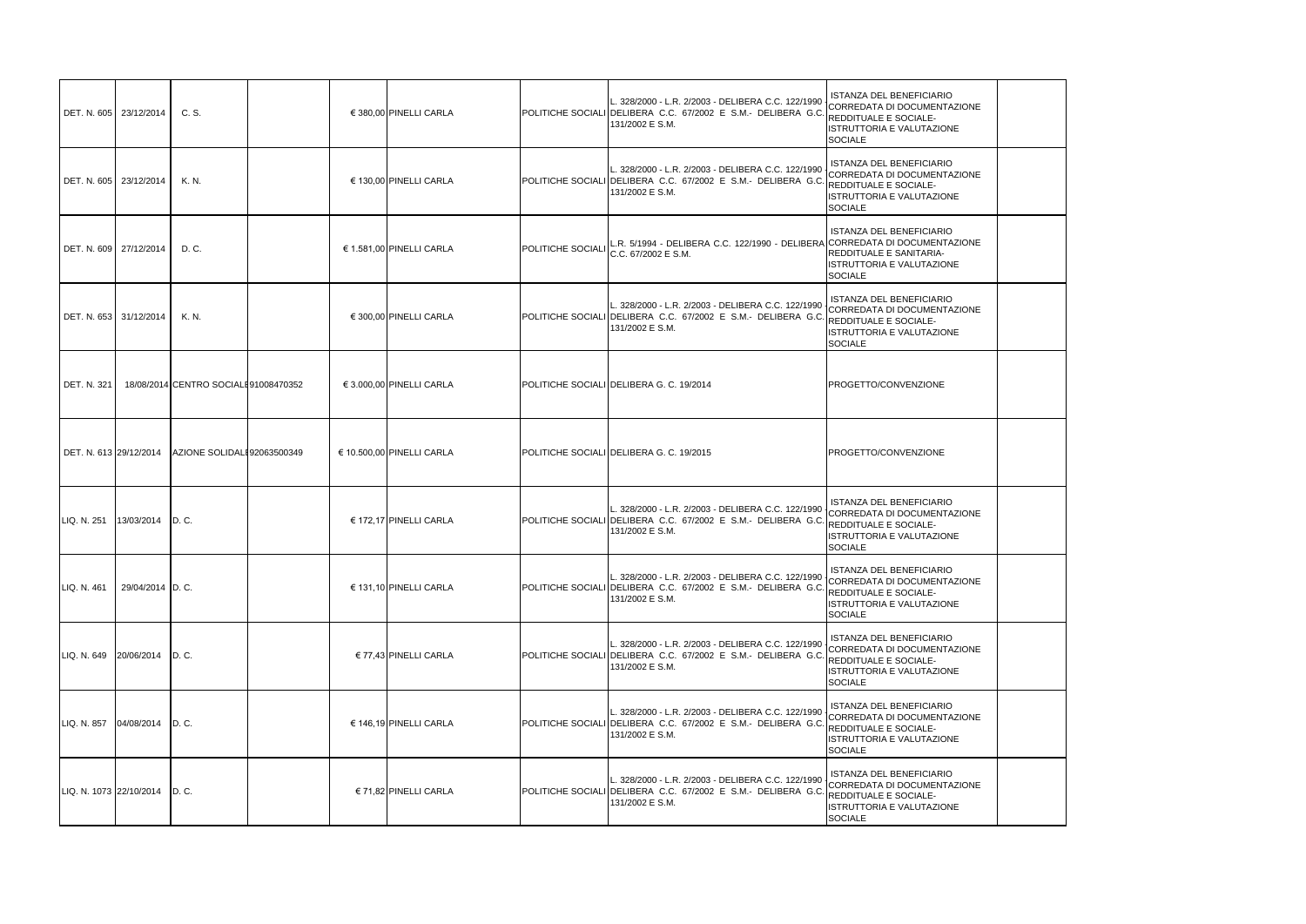| DET. N. 605 23/12/2014          |                              | C. S.                                |  | € 380,00 PINELLI CARLA       |                   | L. 328/2000 - L.R. 2/2003 - DELIBERA C.C. 122/1990 CORREDATA DI DOCUMENTAZIONE<br>POLITICHE SOCIALI DELIBERA C.C. 67/2002 E S.M.- DELIBERA G.C. REDDITUALE E SOCIALE-<br>131/2002 E S.M. | ISTANZA DEL BENEFICIARIO<br><b>ISTRUTTORIA E VALUTAZIONE</b><br><b>SOCIALE</b>                                       |
|---------------------------------|------------------------------|--------------------------------------|--|------------------------------|-------------------|------------------------------------------------------------------------------------------------------------------------------------------------------------------------------------------|----------------------------------------------------------------------------------------------------------------------|
| DET. N. 605 23/12/2014          |                              | K. N.                                |  | € 130,00 PINELLI CARLA       |                   | L. 328/2000 - L.R. 2/2003 - DELIBERA C.C. 122/1990<br>POLITICHE SOCIALI DELIBERA C.C. 67/2002 E S.M.- DELIBERA G.C. REDDITUALE E SOCIALE-<br>131/2002 E S.M.                             | <b>ISTANZA DEL BENEFICIARIO</b><br>CORREDATA DI DOCUMENTAZIONE<br><b>ISTRUTTORIA E VALUTAZIONE</b><br><b>SOCIALE</b> |
| DET. N. 609 27/12/2014          |                              | D. C.                                |  | € 1.581,00 PINELLI CARLA     | POLITICHE SOCIALI | L.R. 5/1994 - DELIBERA C.C. 122/1990 - DELIBERA CORREDATA DI DOCUMENTAZIONE<br>C.C. 67/2002 E S.M.                                                                                       | <b>ISTANZA DEL BENEFICIARIO</b><br>REDDITUALE E SANITARIA-<br><b>ISTRUTTORIA E VALUTAZIONE</b><br><b>SOCIALE</b>     |
|                                 | DET. N. 653 31/12/2014       | K. N.                                |  | € 300,00 PINELLI CARLA       |                   | L. 328/2000 - L.R. 2/2003 - DELIBERA C.C. 122/1990 CORREDATA DI DOCUMENTAZIONE<br>POLITICHE SOCIALI DELIBERA C.C. 67/2002 E S.M.- DELIBERA G.C. REDDITUALE E SOCIALE-<br>131/2002 E S.M. | <b>ISTANZA DEL BENEFICIARIO</b><br>ISTRUTTORIA E VALUTAZIONE<br>SOCIALE                                              |
| <b>DET. N. 321</b>              |                              | 18/08/2014 CENTRO SOCIALE91008470352 |  | $\in$ 3.000.00 PINELLI CARLA |                   | POLITICHE SOCIALI DELIBERA G. C. 19/2014                                                                                                                                                 | <b>PROGETTO/CONVENZIONE</b>                                                                                          |
| DET. N. 613 29/12/2014          |                              | AZIONE SOLIDALI 92063500349          |  | € 10.500,00 PINELLI CARLA    |                   | POLITICHE SOCIALI DELIBERA G. C. 19/2015                                                                                                                                                 | <b>PROGETTO/CONVENZIONE</b>                                                                                          |
| LIQ. N. 251                     | 13/03/2014 D.C.              |                                      |  | € 172,17 PINELLI CARLA       |                   | L. 328/2000 - L.R. 2/2003 - DELIBERA C.C. 122/1990 CORREDATA DI DOCUMENTAZIONE<br>POLITICHE SOCIALI DELIBERA C.C. 67/2002 E S.M.- DELIBERA G.C. REDDITUALE E SOCIALE-<br>131/2002 E S.M. | ISTANZA DEL BENEFICIARIO<br><b>ISTRUTTORIA E VALUTAZIONE</b><br><b>SOCIALE</b>                                       |
| ILIQ. N. 461                    | 29/04/2014 D.C.              |                                      |  | € 131,10 PINELLI CARLA       |                   | L. 328/2000 - L.R. 2/2003 - DELIBERA C.C. 122/1990<br>POLITICHE SOCIALI DELIBERA C.C. 67/2002 E S.M.- DELIBERA G.C. REDDITUALE E SOCIALE-<br>131/2002 E S.M.                             | <b>ISTANZA DEL BENEFICIARIO</b><br>CORREDATA DI DOCUMENTAZIONE<br>ISTRUTTORIA E VALUTAZIONE<br><b>SOCIALE</b>        |
|                                 | LIQ. N. 649 20/06/2014 D. C. |                                      |  | € 77,43 PINELLI CARLA        |                   | L. 328/2000 - L.R. 2/2003 - DELIBERA C.C. 122/1990<br>POLITICHE SOCIALI DELIBERA C.C. 67/2002 E S.M.- DELIBERA G.C. REDDITUALE E SOCIALE-<br>131/2002 E S.M.                             | ISTANZA DEL BENEFICIARIO<br>CORREDATA DI DOCUMENTAZIONE<br>ISTRUTTORIA E VALUTAZIONE<br><b>SOCIALE</b>               |
| LIQ. N. 857                     | 04/08/2014 D.C.              |                                      |  | € 146,19 PINELLI CARLA       |                   | L. 328/2000 - L.R. 2/2003 - DELIBERA C.C. 122/1990 CORREDATA DI DOCUMENTAZIONE<br>POLITICHE SOCIALI DELIBERA C.C. 67/2002 E S.M.- DELIBERA G.C. REDDITUALE E SOCIALE-<br>131/2002 E S.M. | <b>ISTANZA DEL BENEFICIARIO</b><br>ISTRUTTORIA E VALUTAZIONE<br>SOCIALE                                              |
| LIQ. N. 1073 22/10/2014   D. C. |                              |                                      |  | € 71,82 PINELLI CARLA        |                   | L. 328/2000 - L.R. 2/2003 - DELIBERA C.C. 122/1990  <br>POLITICHE SOCIALI DELIBERA C.C. 67/2002 E S.M. DELIBERA G.C. REDDITUALE E SOCIALE-<br>131/2002 E S.M.                            | ISTANZA DEL BENEFICIARIO<br>CORREDATA DI DOCUMENTAZIONE<br>ISTRUTTORIA E VALUTAZIONE<br><b>SOCIALE</b>               |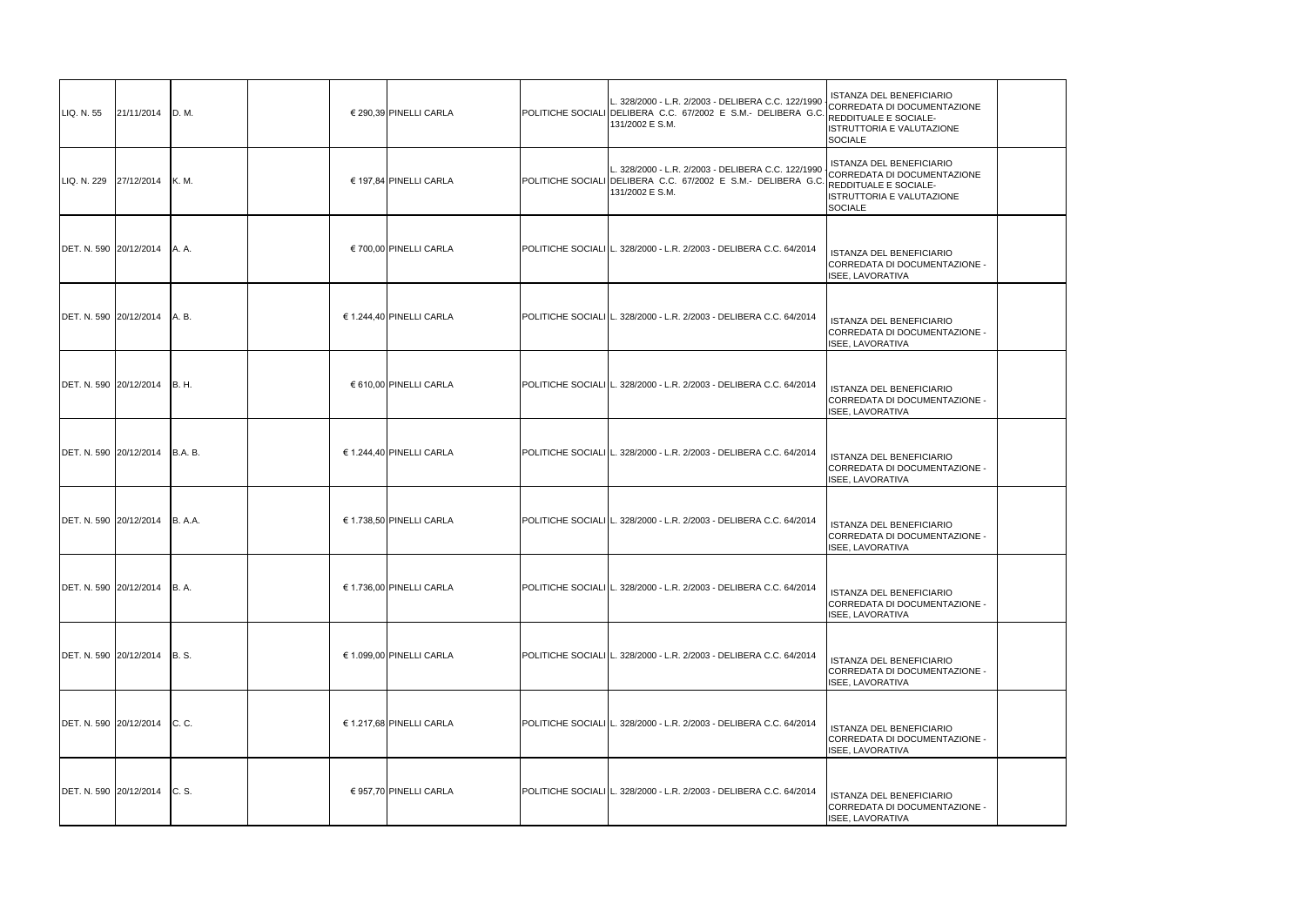| LIQ. N. 55  | 21/11/2014                   | D.M.          | € 290,39 PINELLI CARLA   | L. 328/2000 - L.R. 2/2003 - DELIBERA C.C. 122/1990<br>POLITICHE SOCIALI DELIBERA C.C. 67/2002 E S.M.- DELIBERA G.C.<br>131/2002 E S.M. | ISTANZA DEL BENEFICIARIO<br>CORREDATA DI DOCUMENTAZIONE<br>REDDITUALE E SOCIALE-<br>ISTRUTTORIA E VALUTAZIONE<br><b>SOCIALE</b>        |
|-------------|------------------------------|---------------|--------------------------|----------------------------------------------------------------------------------------------------------------------------------------|----------------------------------------------------------------------------------------------------------------------------------------|
| LIQ. N. 229 | 27/12/2014                   | <b>K.M.</b>   | € 197,84 PINELLI CARLA   | L. 328/2000 - L.R. 2/2003 - DELIBERA C.C. 122/1990<br>POLITICHE SOCIALI DELIBERA C.C. 67/2002 E S.M.- DELIBERA G.C.<br>131/2002 E S.M. | ISTANZA DEL BENEFICIARIO<br>CORREDATA DI DOCUMENTAZIONE<br><b>REDDITUALE E SOCIALE-</b><br>ISTRUTTORIA E VALUTAZIONE<br><b>SOCIALE</b> |
|             | DET. N. 590 20/12/2014       | A. A.         | € 700,00 PINELLI CARLA   | POLITICHE SOCIALI L. 328/2000 - L.R. 2/2003 - DELIBERA C.C. 64/2014                                                                    | ISTANZA DEL BENEFICIARIO<br>CORREDATA DI DOCUMENTAZIONE -<br>ISEE, LAVORATIVA                                                          |
|             | DET. N. 590 20/12/2014       | A. B.         | € 1.244,40 PINELLI CARLA | POLITICHE SOCIALI L. 328/2000 - L.R. 2/2003 - DELIBERA C.C. 64/2014                                                                    | ISTANZA DEL BENEFICIARIO<br>CORREDATA DI DOCUMENTAZIONE -<br><b>ISEE, LAVORATIVA</b>                                                   |
|             | DET. N. 590 20/12/2014       | <b>B.H.</b>   | € 610,00 PINELLI CARLA   | POLITICHE SOCIALI L. 328/2000 - L.R. 2/2003 - DELIBERA C.C. 64/2014                                                                    | ISTANZA DEL BENEFICIARIO<br>CORREDATA DI DOCUMENTAZIONE -<br>ISEE, LAVORATIVA                                                          |
|             | DET. N. 590 20/12/2014       | B.A.B.        | € 1.244,40 PINELLI CARLA | POLITICHE SOCIALI L. 328/2000 - L.R. 2/2003 - DELIBERA C.C. 64/2014                                                                    | ISTANZA DEL BENEFICIARIO<br>CORREDATA DI DOCUMENTAZIONE -<br>ISEE, LAVORATIVA                                                          |
|             | DET. N. 590 20/12/2014       | <b>B.A.A.</b> | € 1.738,50 PINELLI CARLA | POLITICHE SOCIALI L. 328/2000 - L.R. 2/2003 - DELIBERA C.C. 64/2014                                                                    | <b>ISTANZA DEL BENEFICIARIO</b><br>CORREDATA DI DOCUMENTAZIONE -<br>ISEE, LAVORATIVA                                                   |
|             | DET. N. 590 20/12/2014       | <b>B.A.</b>   | € 1.736,00 PINELLI CARLA | POLITICHE SOCIALI L. 328/2000 - L.R. 2/2003 - DELIBERA C.C. 64/2014                                                                    | <b>ISTANZA DEL BENEFICIARIO</b><br>CORREDATA DI DOCUMENTAZIONE -<br>ISEE, LAVORATIVA                                                   |
|             | DET. N. 590 20/12/2014 B. S. |               | € 1.099,00 PINELLI CARLA | POLITICHE SOCIALI L. 328/2000 - L.R. 2/2003 - DELIBERA C.C. 64/2014                                                                    | <b>ISTANZA DEL BENEFICIARIO</b><br>CORREDATA DI DOCUMENTAZIONE -<br>ISEE, LAVORATIVA                                                   |
|             | DET. N. 590 20/12/2014 C. C. |               | € 1.217,68 PINELLI CARLA | POLITICHE SOCIALI L. 328/2000 - L.R. 2/2003 - DELIBERA C.C. 64/2014                                                                    | ISTANZA DEL BENEFICIARIO<br>CORREDATA DI DOCUMENTAZIONE -<br><b>ISEE, LAVORATIVA</b>                                                   |
|             | DET. N. 590 20/12/2014       | C.S.          | € 957,70 PINELLI CARLA   | POLITICHE SOCIALI L. 328/2000 - L.R. 2/2003 - DELIBERA C.C. 64/2014                                                                    | ISTANZA DEL BENEFICIARIO<br>CORREDATA DI DOCUMENTAZIONE -<br>ISEE, LAVORATIVA                                                          |

| <b>FICIARIO</b><br>CUMENTAZIONE<br><b>IALE-</b><br><b>UTAZIONE</b> |  |
|--------------------------------------------------------------------|--|
| <b>FICIARIO</b><br>CUMENTAZIONE<br><b>IALE-</b><br><b>UTAZIONE</b> |  |
| <b>FICIARIO</b><br>CUMENTAZIONE -                                  |  |
| <b>FICIARIO</b><br>CUMENTAZIONE -                                  |  |
| <b>FICIARIO</b><br>CUMENTAZIONE -                                  |  |
| <b>FICIARIO</b><br>CUMENTAZIONE -                                  |  |
| <b>FICIARIO</b><br>CUMENTAZIONE -                                  |  |
| <b>FICIARIO</b><br>CUMENTAZIONE -                                  |  |
| <b>FICIARIO</b><br>CUMENTAZIONE -                                  |  |
| <b>FICIARIO</b><br>CUMENTAZIONE -                                  |  |
| <b>FICIARIO</b><br>CUMENTAZIONE -                                  |  |
|                                                                    |  |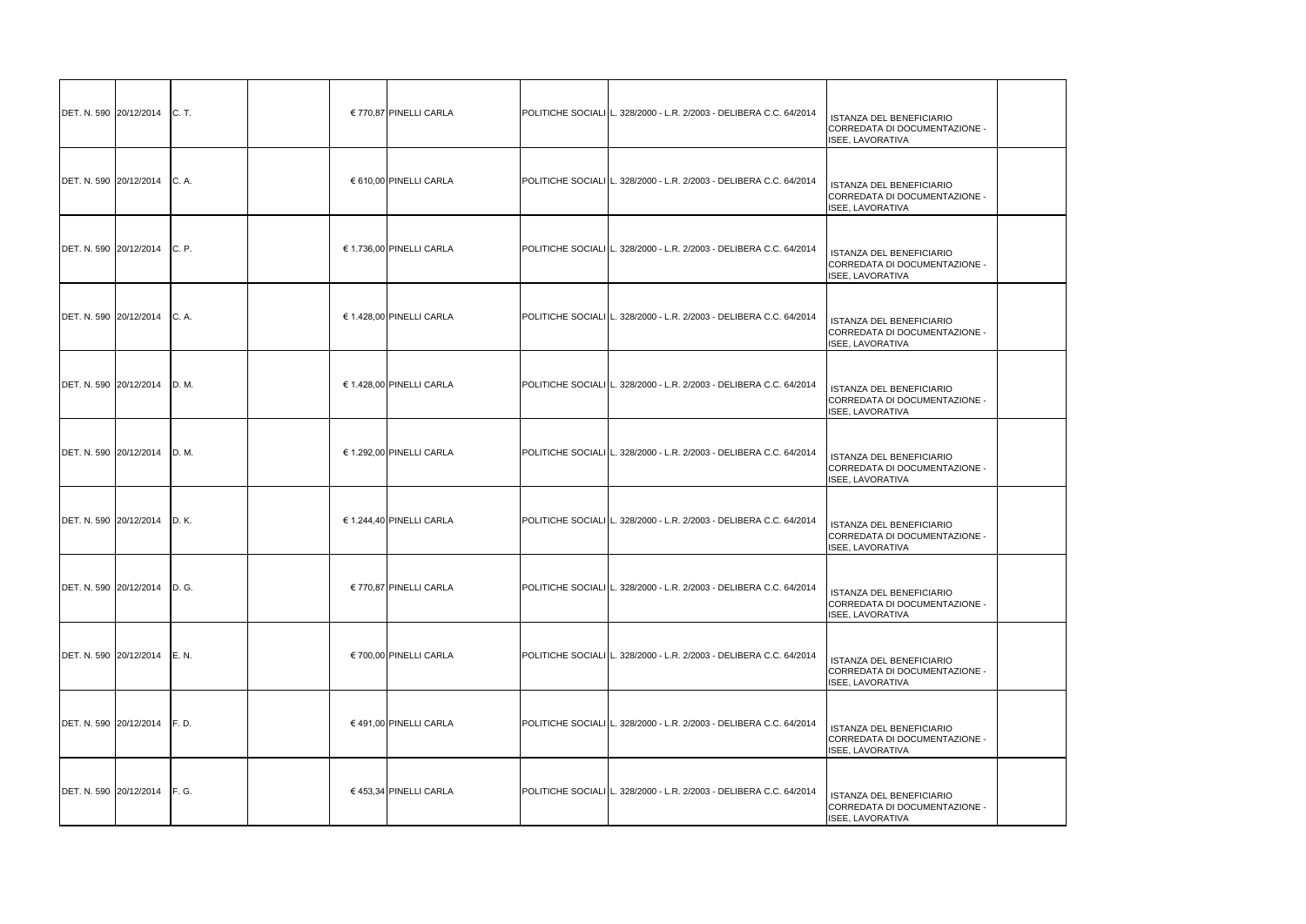| DET. N. 590 20/12/2014 C. T. |       | € 770,87 PINELLI CARLA   | POLITICHE SOCIALI L. 328/2000 - L.R. 2/2003 - DELIBERA C.C. 64/2014 | ISTANZA DEL BENEFICIARIO<br>CORREDATA DI DOCUMENTAZIONE -<br>ISEE, LAVORATIVA        |
|------------------------------|-------|--------------------------|---------------------------------------------------------------------|--------------------------------------------------------------------------------------|
| DET. N. 590 20/12/2014       | C. A. | € 610,00 PINELLI CARLA   | POLITICHE SOCIALI L. 328/2000 - L.R. 2/2003 - DELIBERA C.C. 64/2014 | <b>ISTANZA DEL BENEFICIARIO</b><br>CORREDATA DI DOCUMENTAZIONE -<br>ISEE, LAVORATIVA |
| DET. N. 590 20/12/2014       | C. P. | € 1.736,00 PINELLI CARLA | POLITICHE SOCIALI L. 328/2000 - L.R. 2/2003 - DELIBERA C.C. 64/2014 | ISTANZA DEL BENEFICIARIO<br>CORREDATA DI DOCUMENTAZIONE -<br>ISEE, LAVORATIVA        |
| DET. N. 590 20/12/2014 C. A. |       | € 1.428,00 PINELLI CARLA | POLITICHE SOCIALI L. 328/2000 - L.R. 2/2003 - DELIBERA C.C. 64/2014 | ISTANZA DEL BENEFICIARIO<br>CORREDATA DI DOCUMENTAZIONE -<br>ISEE, LAVORATIVA        |
| DET. N. 590 20/12/2014       | D.M.  | € 1.428,00 PINELLI CARLA | POLITICHE SOCIALI L. 328/2000 - L.R. 2/2003 - DELIBERA C.C. 64/2014 | ISTANZA DEL BENEFICIARIO<br>CORREDATA DI DOCUMENTAZIONE -<br><b>ISEE, LAVORATIVA</b> |
| DET. N. 590 20/12/2014 D. M. |       | € 1.292,00 PINELLI CARLA | POLITICHE SOCIALI L. 328/2000 - L.R. 2/2003 - DELIBERA C.C. 64/2014 | ISTANZA DEL BENEFICIARIO<br>CORREDATA DI DOCUMENTAZIONE -<br><b>ISEE, LAVORATIVA</b> |
| DET. N. 590 20/12/2014       | D. K. | € 1.244,40 PINELLI CARLA | POLITICHE SOCIALI L. 328/2000 - L.R. 2/2003 - DELIBERA C.C. 64/2014 | ISTANZA DEL BENEFICIARIO<br>CORREDATA DI DOCUMENTAZIONE -<br>ISEE, LAVORATIVA        |
| DET. N. 590 20/12/2014 D. G. |       | € 770,87 PINELLI CARLA   | POLITICHE SOCIALI L. 328/2000 - L.R. 2/2003 - DELIBERA C.C. 64/2014 | <b>ISTANZA DEL BENEFICIARIO</b><br>CORREDATA DI DOCUMENTAZIONE -<br>ISEE, LAVORATIVA |
| DET. N. 590 20/12/2014 E. N. |       | € 700,00 PINELLI CARLA   | POLITICHE SOCIALI L. 328/2000 - L.R. 2/2003 - DELIBERA C.C. 64/2014 | ISTANZA DEL BENEFICIARIO<br>CORREDATA DI DOCUMENTAZIONE -<br>ISEE, LAVORATIVA        |
| DET. N. 590 20/12/2014 F. D. |       | € 491,00 PINELLI CARLA   | POLITICHE SOCIALI L. 328/2000 - L.R. 2/2003 - DELIBERA C.C. 64/2014 | ISTANZA DEL BENEFICIARIO<br>CORREDATA DI DOCUMENTAZIONE -<br>ISEE, LAVORATIVA        |
| DET. N. 590 20/12/2014 F. G. |       | € 453,34 PINELLI CARLA   | POLITICHE SOCIALI L. 328/2000 - L.R. 2/2003 - DELIBERA C.C. 64/2014 | <b>ISTANZA DEL BENEFICIARIO</b><br>CORREDATA DI DOCUMENTAZIONE -<br>ISEE, LAVORATIVA |

| <b>FICIARIO</b><br>UMENTAZIONE - |  |
|----------------------------------|--|
| <b>FICIARIO</b><br>UMENTAZIONE - |  |
| <b>FICIARIO</b><br>UMENTAZIONE - |  |
| <b>FICIARIO</b><br>UMENTAZIONE - |  |
| <b>FICIARIO</b><br>UMENTAZIONE - |  |
| <b>FICIARIO</b><br>UMENTAZIONE - |  |
| <b>FICIARIO</b><br>UMENTAZIONE - |  |
| <b>FICIARIO</b><br>UMENTAZIONE - |  |
| <b>FICIARIO</b><br>UMENTAZIONE - |  |
| <b>FICIARIO</b><br>UMENTAZIONE - |  |
| <b>FICIARIO</b><br>UMENTAZIONE - |  |
|                                  |  |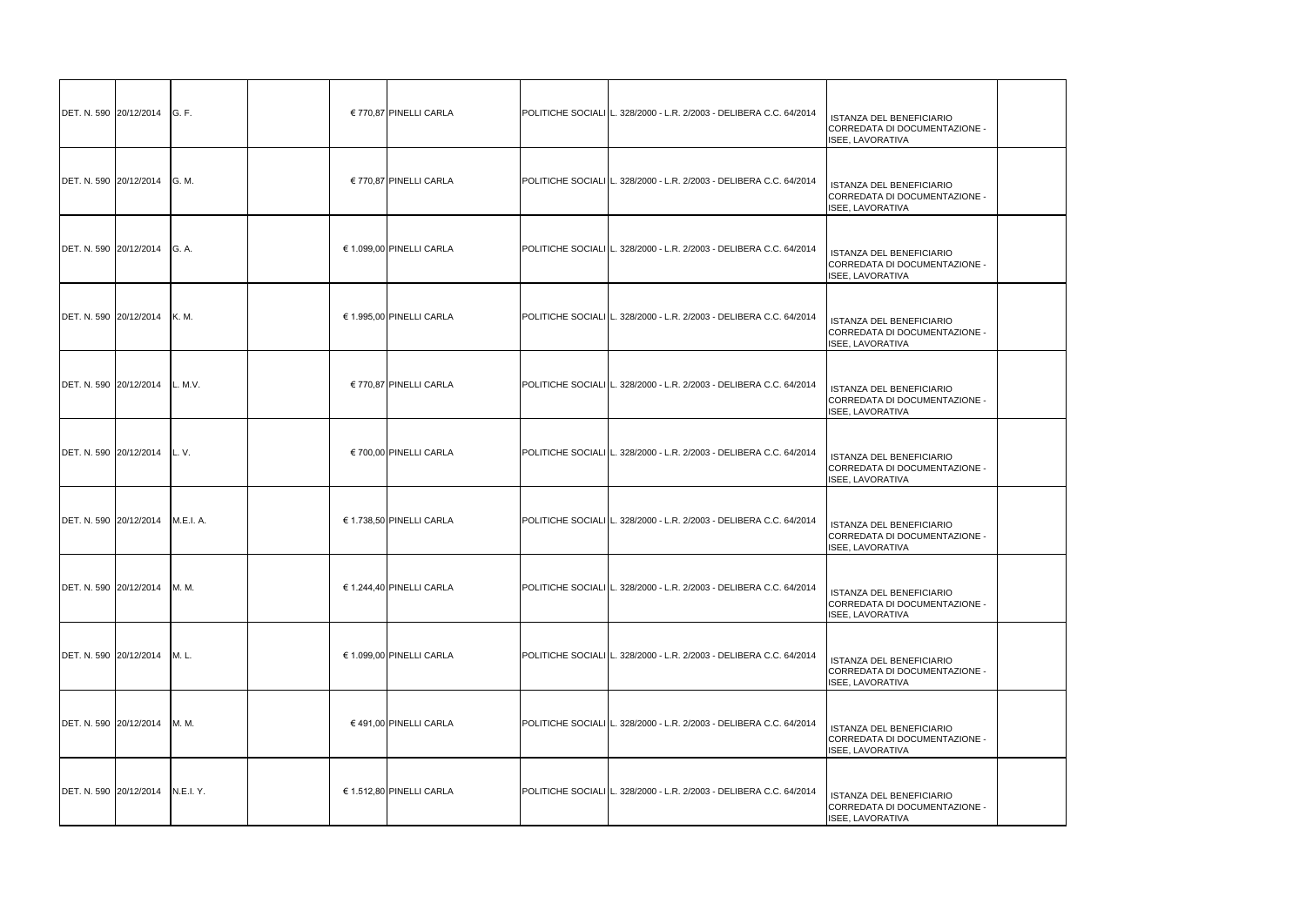| DET. N. 590 20/12/2014       | <b>G.F.</b> | € 770,87 PINELLI CARLA   | POLITICHE SOCIALI L. 328/2000 - L.R. 2/2003 - DELIBERA C.C. 64/2014 | ISTANZA DEL BENEFICIARIO<br>CORREDATA DI DOCUMENTAZIONE -<br>ISEE, LAVORATIVA        |
|------------------------------|-------------|--------------------------|---------------------------------------------------------------------|--------------------------------------------------------------------------------------|
| DET. N. 590 20/12/2014       | G. M.       | € 770,87 PINELLI CARLA   | POLITICHE SOCIALI L. 328/2000 - L.R. 2/2003 - DELIBERA C.C. 64/2014 | <b>ISTANZA DEL BENEFICIARIO</b><br>CORREDATA DI DOCUMENTAZIONE -<br>ISEE, LAVORATIVA |
| DET. N. 590 20/12/2014       | G. A.       | € 1.099,00 PINELLI CARLA | POLITICHE SOCIALI L. 328/2000 - L.R. 2/2003 - DELIBERA C.C. 64/2014 | ISTANZA DEL BENEFICIARIO<br>CORREDATA DI DOCUMENTAZIONE -<br>ISEE, LAVORATIVA        |
| DET. N. 590 20/12/2014       | <b>K.M.</b> | € 1.995,00 PINELLI CARLA | POLITICHE SOCIALI L. 328/2000 - L.R. 2/2003 - DELIBERA C.C. 64/2014 | ISTANZA DEL BENEFICIARIO<br>CORREDATA DI DOCUMENTAZIONE -<br><b>ISEE, LAVORATIVA</b> |
| DET. N. 590 20/12/2014       | L. M.V.     | € 770,87 PINELLI CARLA   | POLITICHE SOCIALI L. 328/2000 - L.R. 2/2003 - DELIBERA C.C. 64/2014 | <b>ISTANZA DEL BENEFICIARIO</b><br>CORREDATA DI DOCUMENTAZIONE -<br>ISEE, LAVORATIVA |
| DET. N. 590 20/12/2014       | L.V.        | € 700,00 PINELLI CARLA   | POLITICHE SOCIALI L. 328/2000 - L.R. 2/2003 - DELIBERA C.C. 64/2014 | ISTANZA DEL BENEFICIARIO<br>CORREDATA DI DOCUMENTAZIONE -<br>ISEE, LAVORATIVA        |
| DET. N. 590 20/12/2014       | M.E.I. A.   | € 1.738,50 PINELLI CARLA | POLITICHE SOCIALI L. 328/2000 - L.R. 2/2003 - DELIBERA C.C. 64/2014 | ISTANZA DEL BENEFICIARIO<br>CORREDATA DI DOCUMENTAZIONE -<br><b>ISEE, LAVORATIVA</b> |
| DET. N. 590 20/12/2014       | M. M.       | € 1.244,40 PINELLI CARLA | POLITICHE SOCIALI L. 328/2000 - L.R. 2/2003 - DELIBERA C.C. 64/2014 | ISTANZA DEL BENEFICIARIO<br>CORREDATA DI DOCUMENTAZIONE -<br>ISEE, LAVORATIVA        |
| DET. N. 590 20/12/2014 M. L. |             | € 1.099,00 PINELLI CARLA | POLITICHE SOCIALI L. 328/2000 - L.R. 2/2003 - DELIBERA C.C. 64/2014 | ISTANZA DEL BENEFICIARIO<br>CORREDATA DI DOCUMENTAZIONE -<br>ISEE, LAVORATIVA        |
| DET. N. 590 20/12/2014       | M. M.       | € 491,00 PINELLI CARLA   | POLITICHE SOCIALI L. 328/2000 - L.R. 2/2003 - DELIBERA C.C. 64/2014 | ISTANZA DEL BENEFICIARIO<br>CORREDATA DI DOCUMENTAZIONE -<br>ISEE, LAVORATIVA        |
| DET. N. 590 20/12/2014       | N.E.I. Y.   | € 1.512,80 PINELLI CARLA | POLITICHE SOCIALI L. 328/2000 - L.R. 2/2003 - DELIBERA C.C. 64/2014 | <b>ISTANZA DEL BENEFICIARIO</b><br>CORREDATA DI DOCUMENTAZIONE -<br>ISEE, LAVORATIVA |

| <b>FICIARIO</b><br>CUMENTAZIONE -         |  |
|-------------------------------------------|--|
| <b>EFICIARIO</b><br><b>CUMENTAZIONE -</b> |  |
| <b>FICIARIO</b><br>CUMENTAZIONE -         |  |
| <b>EFICIARIO</b><br><b>CUMENTAZIONE -</b> |  |
| <b>EFICIARIO</b><br><b>CUMENTAZIONE -</b> |  |
| <b>FICIARIO</b><br>CUMENTAZIONE -         |  |
| <b>EFICIARIO</b><br>CUMENTAZIONE -        |  |
| <b>FICIARIO</b><br><b>CUMENTAZIONE -</b>  |  |
| <b>FICIARIO</b><br><b>CUMENTAZIONE -</b>  |  |
| <b>FICIARIO</b><br><b>CUMENTAZIONE -</b>  |  |
| <b>FICIARIO</b><br>CUMENTAZIONE -         |  |
|                                           |  |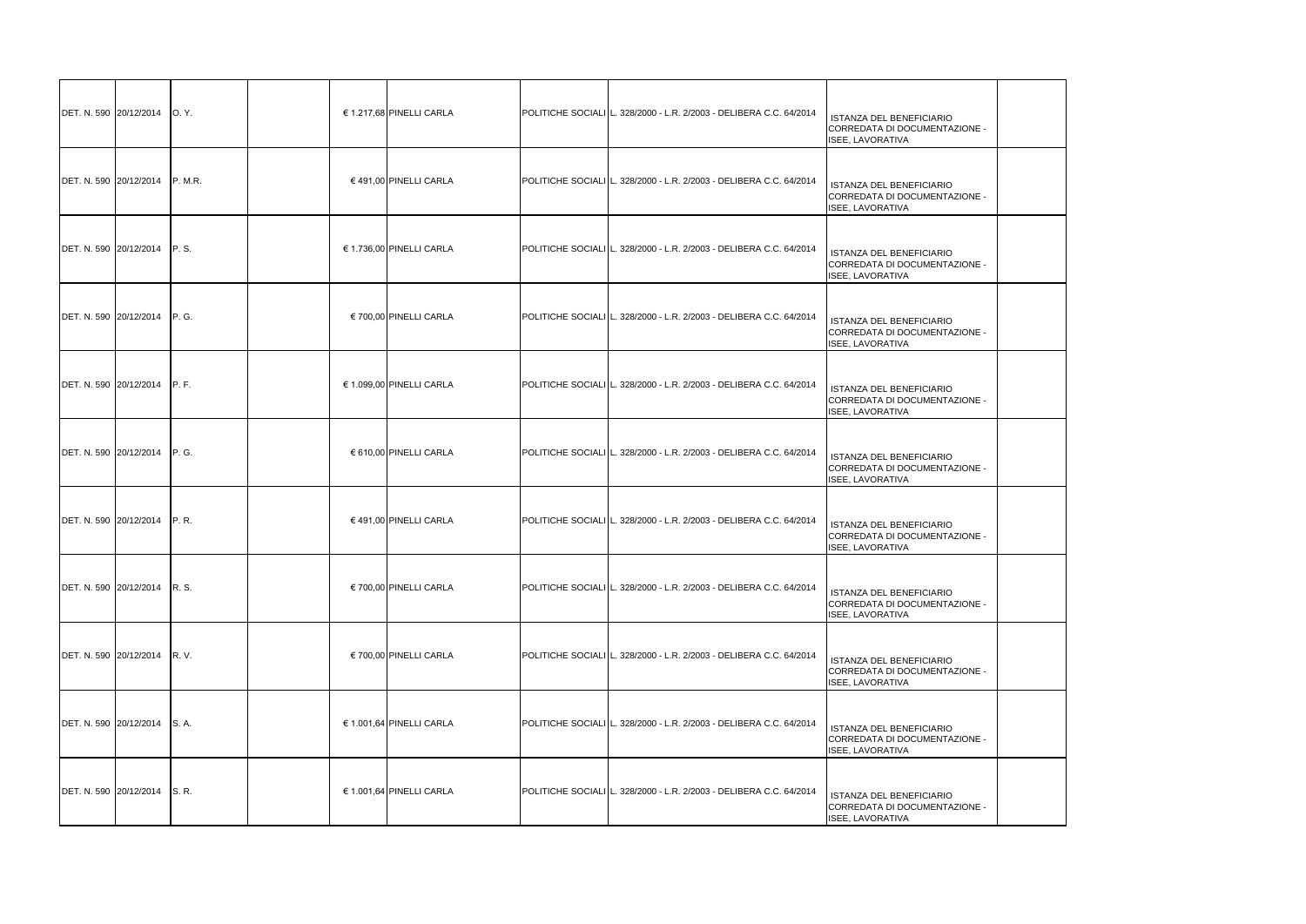| DET. N. 590 20/12/2014   O. Y. |                | € 1.217,68 PINELLI CARLA | POLITICHE SOCIALI L. 328/2000 - L.R. 2/2003 - DELIBERA C.C. 64/2014 | ISTANZA DEL BENEFICIARIO<br>CORREDATA DI DOCUMENTAZIONE -<br>ISEE, LAVORATIVA        |
|--------------------------------|----------------|--------------------------|---------------------------------------------------------------------|--------------------------------------------------------------------------------------|
| DET. N. 590 20/12/2014         | <b>P. M.R.</b> | € 491,00 PINELLI CARLA   | POLITICHE SOCIALI L. 328/2000 - L.R. 2/2003 - DELIBERA C.C. 64/2014 | <b>ISTANZA DEL BENEFICIARIO</b><br>CORREDATA DI DOCUMENTAZIONE -<br>ISEE, LAVORATIVA |
| DET. N. 590 20/12/2014 P. S.   |                | € 1.736,00 PINELLI CARLA | POLITICHE SOCIALI L. 328/2000 - L.R. 2/2003 - DELIBERA C.C. 64/2014 | ISTANZA DEL BENEFICIARIO<br>CORREDATA DI DOCUMENTAZIONE -<br>ISEE, LAVORATIVA        |
| DET. N. 590 20/12/2014 P. G.   |                | € 700,00 PINELLI CARLA   | POLITICHE SOCIALI L. 328/2000 - L.R. 2/2003 - DELIBERA C.C. 64/2014 | ISTANZA DEL BENEFICIARIO<br>CORREDATA DI DOCUMENTAZIONE -<br>ISEE, LAVORATIVA        |
| DET. N. 590 20/12/2014 P. F.   |                | € 1.099,00 PINELLI CARLA | POLITICHE SOCIALI L. 328/2000 - L.R. 2/2003 - DELIBERA C.C. 64/2014 | ISTANZA DEL BENEFICIARIO<br>CORREDATA DI DOCUMENTAZIONE -<br>ISEE, LAVORATIVA        |
| DET. N. 590 20/12/2014 P. G.   |                | € 610,00 PINELLI CARLA   | POLITICHE SOCIALI L. 328/2000 - L.R. 2/2003 - DELIBERA C.C. 64/2014 | ISTANZA DEL BENEFICIARIO<br>CORREDATA DI DOCUMENTAZIONE -<br><b>ISEE, LAVORATIVA</b> |
| DET. N. 590 20/12/2014 P. R.   |                | € 491,00 PINELLI CARLA   | POLITICHE SOCIALI L. 328/2000 - L.R. 2/2003 - DELIBERA C.C. 64/2014 | ISTANZA DEL BENEFICIARIO<br>CORREDATA DI DOCUMENTAZIONE -<br>ISEE, LAVORATIVA        |
| DET. N. 590 20/12/2014 R. S.   |                | € 700,00 PINELLI CARLA   | POLITICHE SOCIALI L. 328/2000 - L.R. 2/2003 - DELIBERA C.C. 64/2014 | ISTANZA DEL BENEFICIARIO<br>CORREDATA DI DOCUMENTAZIONE -<br>ISEE, LAVORATIVA        |
| DET. N. 590 20/12/2014 R. V.   |                | € 700,00 PINELLI CARLA   | POLITICHE SOCIALI L. 328/2000 - L.R. 2/2003 - DELIBERA C.C. 64/2014 | <b>ISTANZA DEL BENEFICIARIO</b><br>CORREDATA DI DOCUMENTAZIONE -<br>ISEE, LAVORATIVA |
| DET. N. 590 20/12/2014 S. A.   |                | € 1.001,64 PINELLI CARLA | POLITICHE SOCIALI L. 328/2000 - L.R. 2/2003 - DELIBERA C.C. 64/2014 | <b>ISTANZA DEL BENEFICIARIO</b><br>CORREDATA DI DOCUMENTAZIONE -<br>ISEE, LAVORATIVA |
| DET. N. 590 20/12/2014 S. R.   |                | € 1.001,64 PINELLI CARLA | POLITICHE SOCIALI L. 328/2000 - L.R. 2/2003 - DELIBERA C.C. 64/2014 | <b>ISTANZA DEL BENEFICIARIO</b><br>CORREDATA DI DOCUMENTAZIONE -<br>ISEE, LAVORATIVA |

| <b>FICIARIO</b><br>UMENTAZIONE - |  |
|----------------------------------|--|
| <b>FICIARIO</b><br>UMENTAZIONE - |  |
| <b>FICIARIO</b><br>UMENTAZIONE - |  |
| <b>FICIARIO</b><br>UMENTAZIONE - |  |
| <b>FICIARIO</b><br>UMENTAZIONE - |  |
| <b>FICIARIO</b><br>UMENTAZIONE - |  |
| <b>FICIARIO</b><br>UMENTAZIONE - |  |
| <b>FICIARIO</b><br>UMENTAZIONE - |  |
| <b>FICIARIO</b><br>UMENTAZIONE - |  |
| <b>FICIARIO</b><br>UMENTAZIONE - |  |
| <b>FICIARIO</b><br>UMENTAZIONE - |  |
|                                  |  |